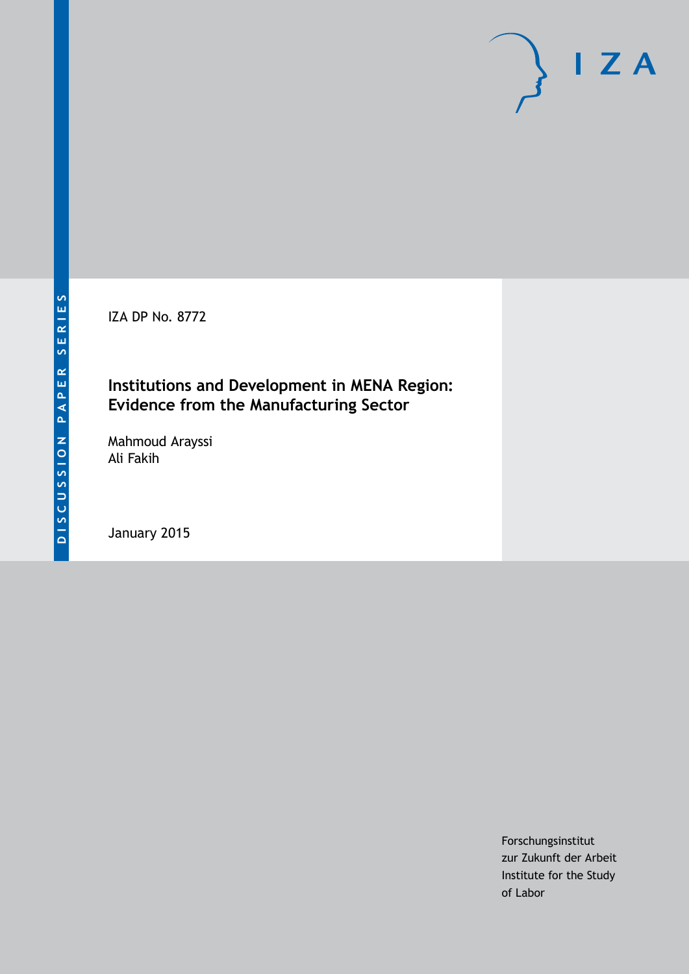IZA DP No. 8772

### **Institutions and Development in MENA Region: Evidence from the Manufacturing Sector**

Mahmoud Arayssi Ali Fakih

January 2015

Forschungsinstitut zur Zukunft der Arbeit Institute for the Study of Labor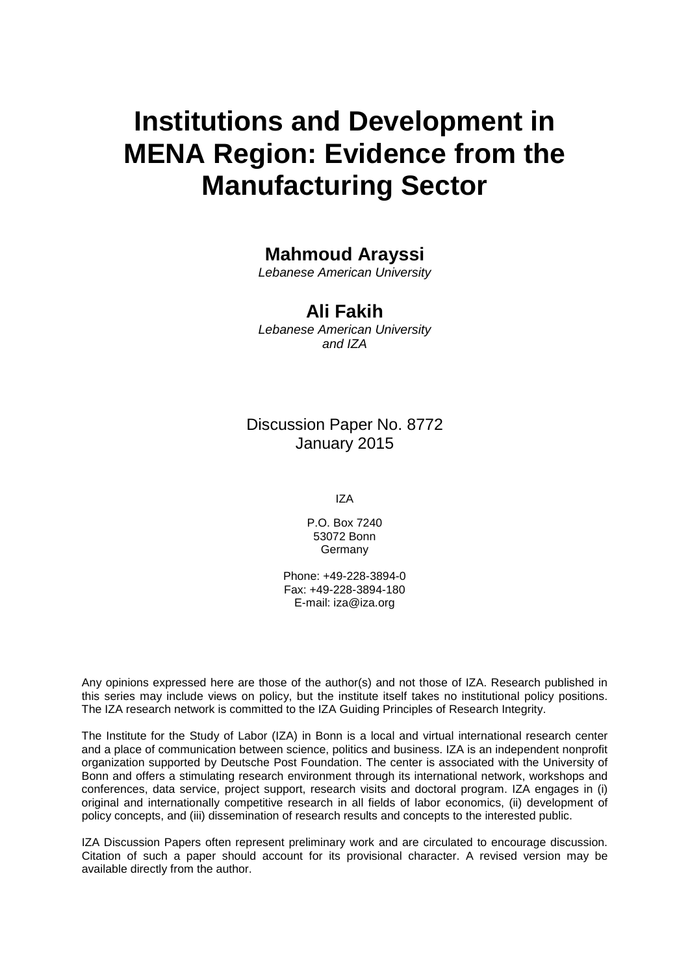# **Institutions and Development in MENA Region: Evidence from the Manufacturing Sector**

### **Mahmoud Arayssi**

*Lebanese American University*

### **Ali Fakih**

*Lebanese American University and IZA*

### Discussion Paper No. 8772 January 2015

IZA

P.O. Box 7240 53072 Bonn **Germany** 

Phone: +49-228-3894-0 Fax: +49-228-3894-180 E-mail: [iza@iza.org](mailto:iza@iza.org)

Any opinions expressed here are those of the author(s) and not those of IZA. Research published in this series may include views on policy, but the institute itself takes no institutional policy positions. The IZA research network is committed to the IZA Guiding Principles of Research Integrity.

The Institute for the Study of Labor (IZA) in Bonn is a local and virtual international research center and a place of communication between science, politics and business. IZA is an independent nonprofit organization supported by Deutsche Post Foundation. The center is associated with the University of Bonn and offers a stimulating research environment through its international network, workshops and conferences, data service, project support, research visits and doctoral program. IZA engages in (i) original and internationally competitive research in all fields of labor economics, (ii) development of policy concepts, and (iii) dissemination of research results and concepts to the interested public.

IZA Discussion Papers often represent preliminary work and are circulated to encourage discussion. Citation of such a paper should account for its provisional character. A revised version may be available directly from the author.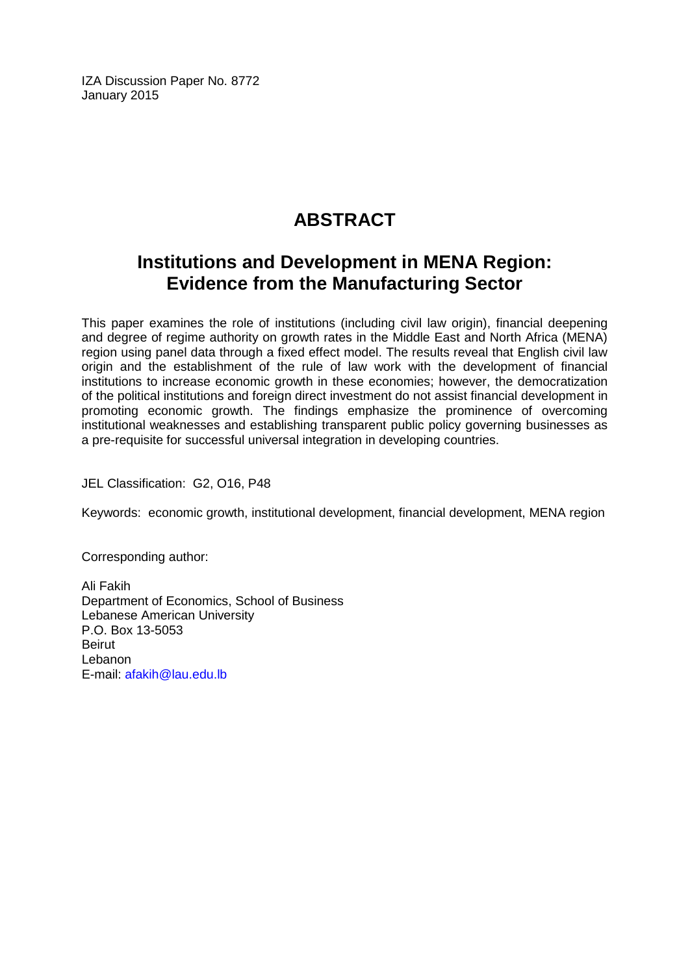IZA Discussion Paper No. 8772 January 2015

# **ABSTRACT**

## **Institutions and Development in MENA Region: Evidence from the Manufacturing Sector**

This paper examines the role of institutions (including civil law origin), financial deepening and degree of regime authority on growth rates in the Middle East and North Africa (MENA) region using panel data through a fixed effect model. The results reveal that English civil law origin and the establishment of the rule of law work with the development of financial institutions to increase economic growth in these economies; however, the democratization of the political institutions and foreign direct investment do not assist financial development in promoting economic growth. The findings emphasize the prominence of overcoming institutional weaknesses and establishing transparent public policy governing businesses as a pre-requisite for successful universal integration in developing countries.

JEL Classification: G2, O16, P48

Keywords: economic growth, institutional development, financial development, MENA region

Corresponding author:

Ali Fakih Department of Economics, School of Business Lebanese American University P.O. Box 13-5053 Beirut Lebanon E-mail: [afakih@lau.edu.lb](mailto:afakih@lau.edu.lb)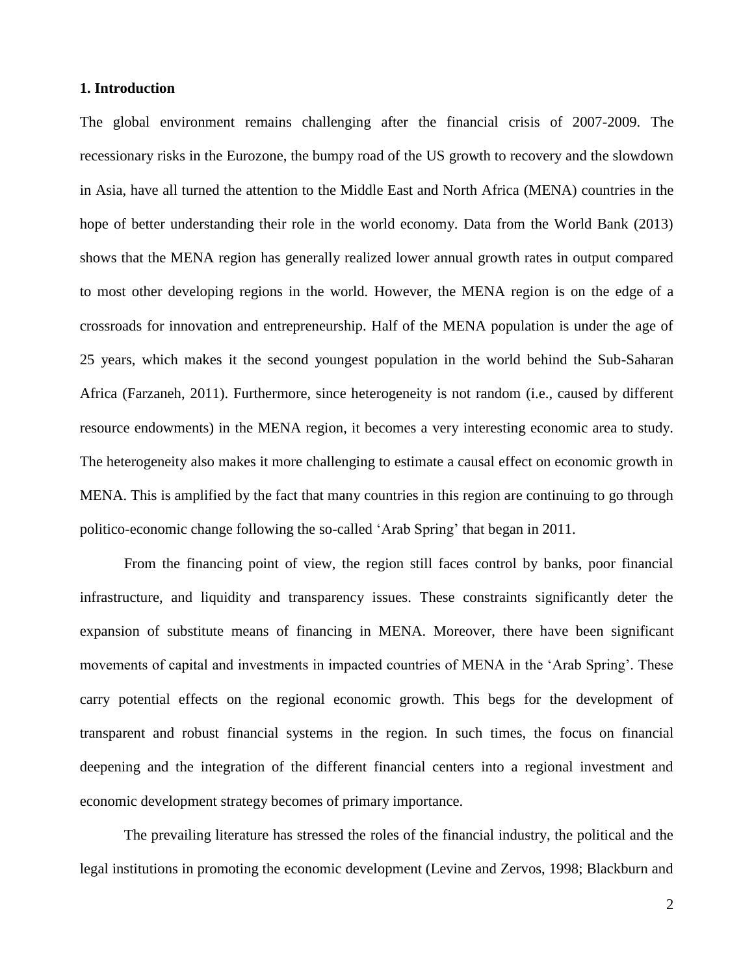#### **1. Introduction**

The global environment remains challenging after the financial crisis of 2007-2009. The recessionary risks in the Eurozone, the bumpy road of the US growth to recovery and the slowdown in Asia, have all turned the attention to the Middle East and North Africa (MENA) countries in the hope of better understanding their role in the world economy. Data from the World Bank (2013) shows that the MENA region has generally realized lower annual growth rates in output compared to most other developing regions in the world. However, the MENA region is on the edge of a crossroads for innovation and entrepreneurship. Half of the MENA population is under the age of 25 years, which makes it the second youngest population in the world behind the Sub-Saharan Africa (Farzaneh, 2011). Furthermore, since heterogeneity is not random (i.e., caused by different resource endowments) in the MENA region, it becomes a very interesting economic area to study. The heterogeneity also makes it more challenging to estimate a causal effect on economic growth in MENA. This is amplified by the fact that many countries in this region are continuing to go through politico-economic change following the so-called 'Arab Spring' that began in 2011.

From the financing point of view, the region still faces control by banks, poor financial infrastructure, and liquidity and transparency issues. These constraints significantly deter the expansion of substitute means of financing in MENA. Moreover, there have been significant movements of capital and investments in impacted countries of MENA in the 'Arab Spring'. These carry potential effects on the regional economic growth. This begs for the development of transparent and robust financial systems in the region. In such times, the focus on financial deepening and the integration of the different financial centers into a regional investment and economic development strategy becomes of primary importance.

The prevailing literature has stressed the roles of the financial industry, the political and the legal institutions in promoting the economic development (Levine and Zervos, 1998; Blackburn and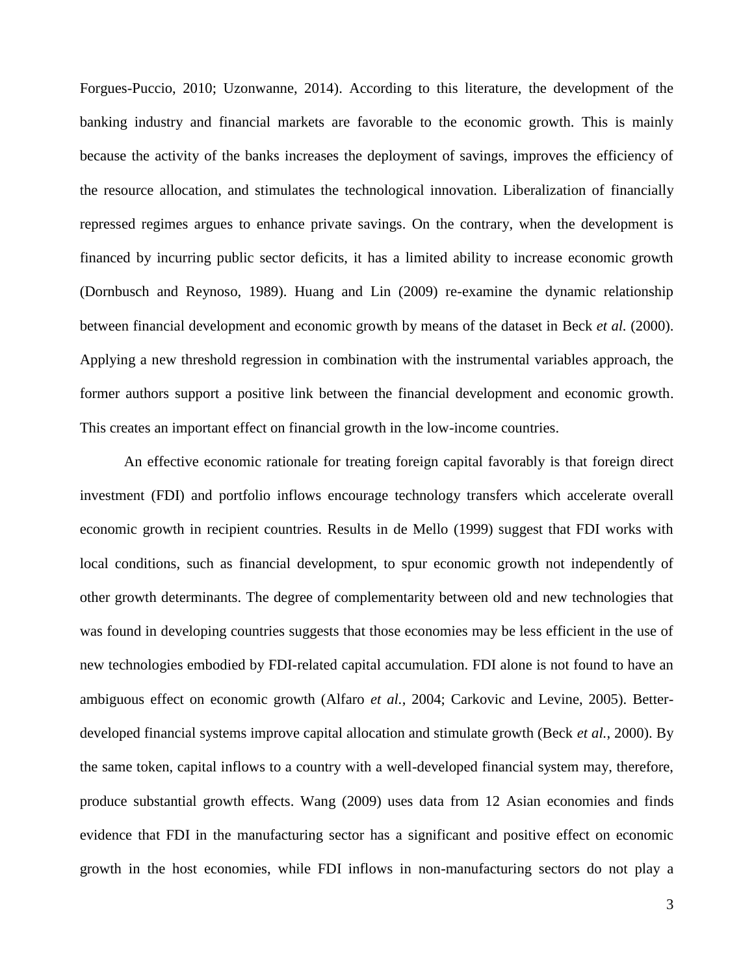Forgues-Puccio, 2010; Uzonwanne, 2014). According to this literature, the development of the banking industry and financial markets are favorable to the economic growth. This is mainly because the activity of the banks increases the deployment of savings, improves the efficiency of the resource allocation, and stimulates the technological innovation. Liberalization of financially repressed regimes argues to enhance private savings. On the contrary, when the development is financed by incurring public sector deficits, it has a limited ability to increase economic growth (Dornbusch and Reynoso, 1989). Huang and Lin (2009) re-examine the dynamic relationship between financial development and economic growth by means of the dataset in Beck *et al.* (2000). Applying a new threshold regression in combination with the instrumental variables approach, the former authors support a positive link between the financial development and economic growth. This creates an important effect on financial growth in the low-income countries.

An effective economic rationale for treating foreign capital favorably is that foreign direct investment (FDI) and portfolio inflows encourage technology transfers which accelerate overall economic growth in recipient countries. Results in de Mello (1999) suggest that FDI works with local conditions, such as financial development, to spur economic growth not independently of other growth determinants. The degree of complementarity between old and new technologies that was found in developing countries suggests that those economies may be less efficient in the use of new technologies embodied by FDI-related capital accumulation. FDI alone is not found to have an ambiguous effect on economic growth (Alfaro *et al.*, 2004; Carkovic and Levine, 2005). Betterdeveloped financial systems improve capital allocation and stimulate growth (Beck *et al.*, 2000). By the same token, capital inflows to a country with a well-developed financial system may, therefore, produce substantial growth effects. Wang (2009) uses data from 12 Asian economies and finds evidence that FDI in the manufacturing sector has a significant and positive effect on economic growth in the host economies, while FDI inflows in non-manufacturing sectors do not play a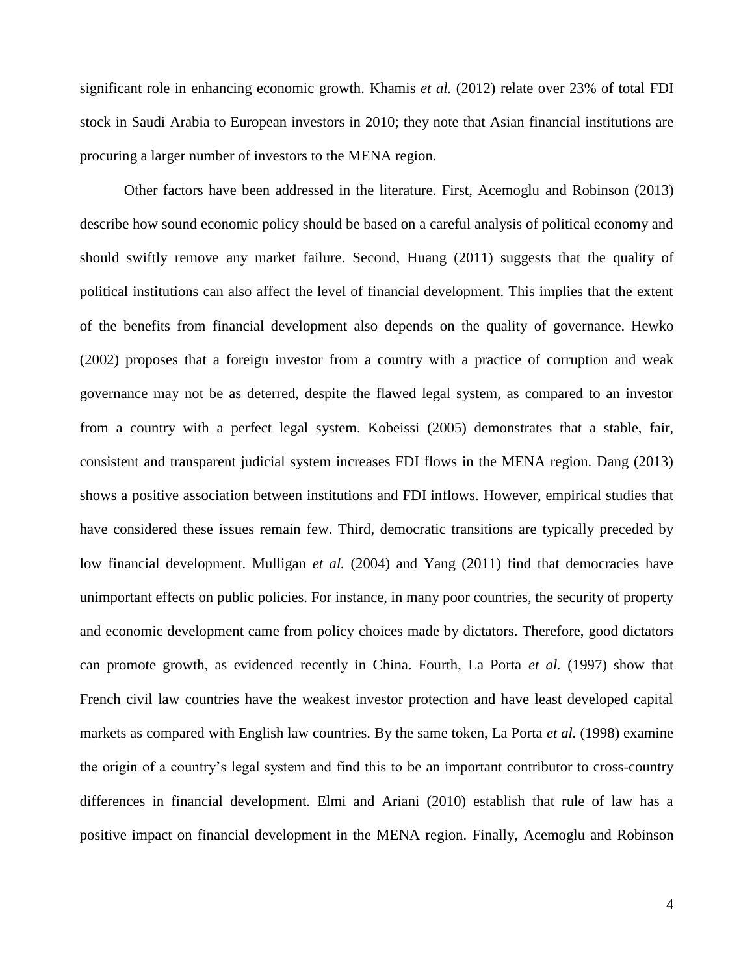significant role in enhancing economic growth. Khamis *et al.* (2012) relate over 23% of total FDI stock in Saudi Arabia to European investors in 2010; they note that Asian financial institutions are procuring a larger number of investors to the MENA region.

Other factors have been addressed in the literature. First, Acemoglu and Robinson (2013) describe how sound economic policy should be based on a careful analysis of political economy and should swiftly remove any market failure. Second, Huang (2011) suggests that the quality of political institutions can also affect the level of financial development. This implies that the extent of the benefits from financial development also depends on the quality of governance. Hewko (2002) proposes that a foreign investor from a country with a practice of corruption and weak governance may not be as deterred, despite the flawed legal system, as compared to an investor from a country with a perfect legal system. Kobeissi (2005) demonstrates that a stable, fair, consistent and transparent judicial system increases FDI flows in the MENA region. Dang (2013) shows a positive association between institutions and FDI inflows. However, empirical studies that have considered these issues remain few. Third, democratic transitions are typically preceded by low financial development. Mulligan *et al.* (2004) and Yang (2011) find that democracies have unimportant effects on public policies. For instance, in many poor countries, the security of property and economic development came from policy choices made by dictators. Therefore, good dictators can promote growth, as evidenced recently in China. Fourth, La Porta *et al.* (1997) show that French civil law countries have the weakest investor protection and have least developed capital markets as compared with English law countries. By the same token, La Porta *et al.* (1998) examine the origin of a country's legal system and find this to be an important contributor to cross-country differences in financial development. Elmi and Ariani (2010) establish that rule of law has a positive impact on financial development in the MENA region. Finally, Acemoglu and Robinson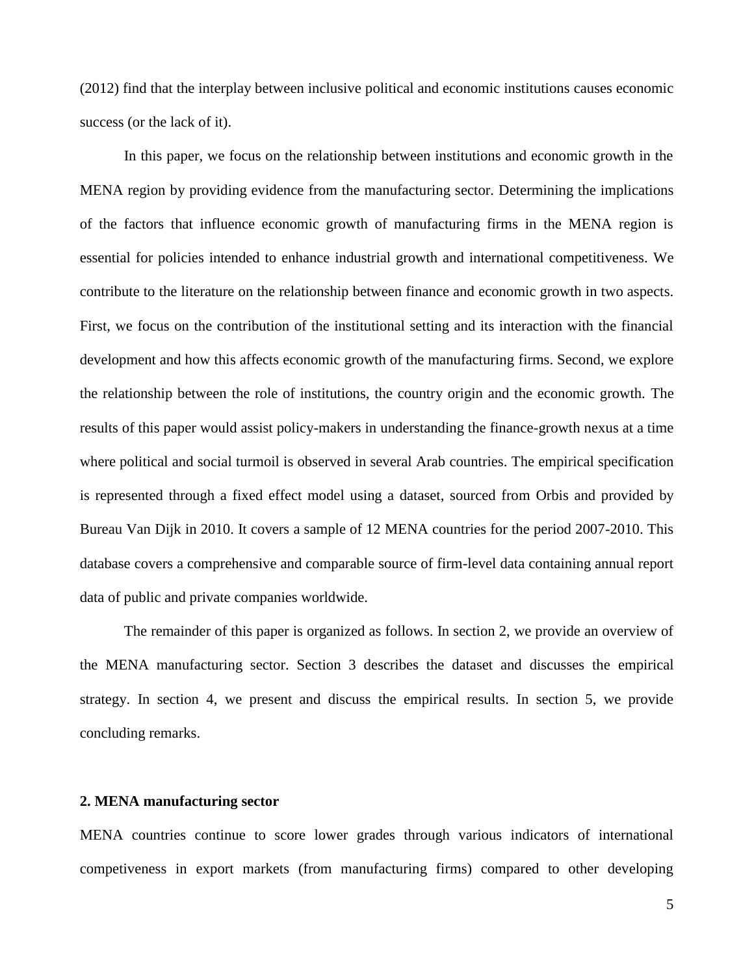(2012) find that the interplay between inclusive political and economic institutions causes economic success (or the lack of it).

In this paper, we focus on the relationship between institutions and economic growth in the MENA region by providing evidence from the manufacturing sector. Determining the implications of the factors that influence economic growth of manufacturing firms in the MENA region is essential for policies intended to enhance industrial growth and international competitiveness. We contribute to the literature on the relationship between finance and economic growth in two aspects. First, we focus on the contribution of the institutional setting and its interaction with the financial development and how this affects economic growth of the manufacturing firms. Second, we explore the relationship between the role of institutions, the country origin and the economic growth. The results of this paper would assist policy-makers in understanding the finance-growth nexus at a time where political and social turmoil is observed in several Arab countries. The empirical specification is represented through a fixed effect model using a dataset, sourced from Orbis and provided by Bureau Van Dijk in 2010. It covers a sample of 12 MENA countries for the period 2007-2010. This database covers a comprehensive and comparable source of firm-level data containing annual report data of public and private companies worldwide.

The remainder of this paper is organized as follows. In section 2, we provide an overview of the MENA manufacturing sector. Section 3 describes the dataset and discusses the empirical strategy. In section 4, we present and discuss the empirical results. In section 5, we provide concluding remarks.

#### **2. MENA manufacturing sector**

MENA countries continue to score lower grades through various indicators of international competiveness in export markets (from manufacturing firms) compared to other developing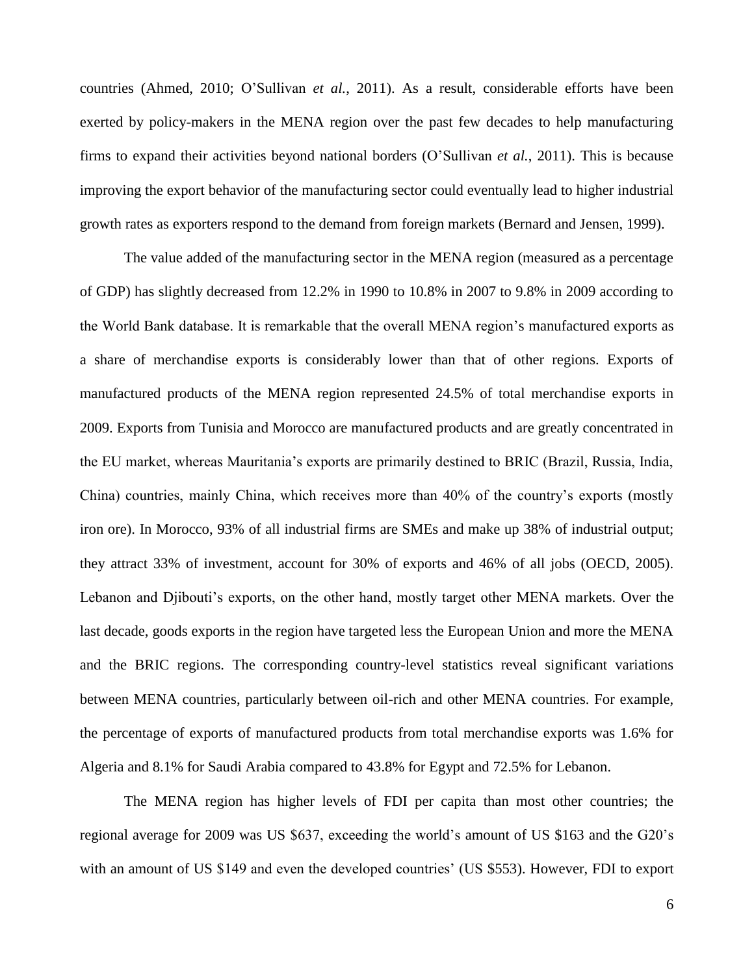countries (Ahmed, 2010; O'Sullivan *et al.*, 2011). As a result, considerable efforts have been exerted by policy-makers in the MENA region over the past few decades to help manufacturing firms to expand their activities beyond national borders (O'Sullivan *et al.*, 2011). This is because improving the export behavior of the manufacturing sector could eventually lead to higher industrial growth rates as exporters respond to the demand from foreign markets (Bernard and Jensen, 1999).

The value added of the manufacturing sector in the MENA region (measured as a percentage of GDP) has slightly decreased from 12.2% in 1990 to 10.8% in 2007 to 9.8% in 2009 according to the World Bank database. It is remarkable that the overall MENA region's manufactured exports as a share of merchandise exports is considerably lower than that of other regions. Exports of manufactured products of the MENA region represented 24.5% of total merchandise exports in 2009. Exports from Tunisia and Morocco are manufactured products and are greatly concentrated in the EU market, whereas Mauritania's exports are primarily destined to BRIC (Brazil, Russia, India, China) countries, mainly China, which receives more than 40% of the country's exports (mostly iron ore). In Morocco, 93% of all industrial firms are SMEs and make up 38% of industrial output; they attract 33% of investment, account for 30% of exports and 46% of all jobs (OECD, 2005). Lebanon and Djibouti's exports, on the other hand, mostly target other MENA markets. Over the last decade, goods exports in the region have targeted less the European Union and more the MENA and the BRIC regions. The corresponding country-level statistics reveal significant variations between MENA countries, particularly between oil-rich and other MENA countries. For example, the percentage of exports of manufactured products from total merchandise exports was 1.6% for Algeria and 8.1% for Saudi Arabia compared to 43.8% for Egypt and 72.5% for Lebanon.

The MENA region has higher levels of FDI per capita than most other countries; the regional average for 2009 was US \$637, exceeding the world's amount of US \$163 and the G20's with an amount of US \$149 and even the developed countries' (US \$553). However, FDI to export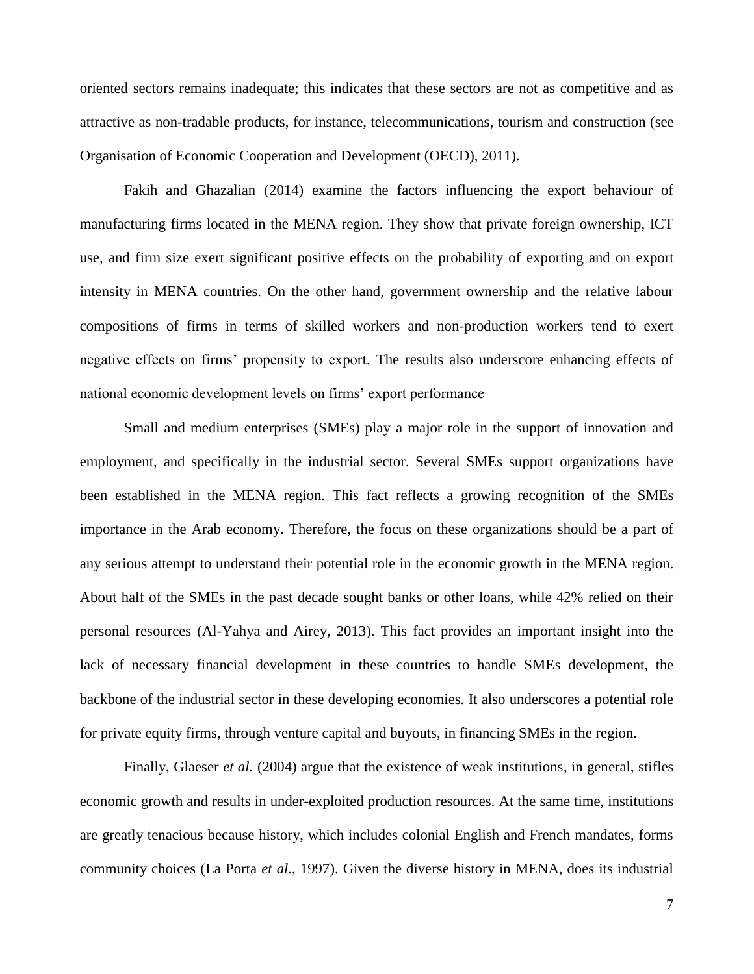oriented sectors remains inadequate; this indicates that these sectors are not as competitive and as attractive as non-tradable products, for instance, telecommunications, tourism and construction (see Organisation of Economic Cooperation and Development (OECD), 2011).

Fakih and Ghazalian (2014) examine the factors influencing the export behaviour of manufacturing firms located in the MENA region. They show that private foreign ownership, ICT use, and firm size exert significant positive effects on the probability of exporting and on export intensity in MENA countries. On the other hand, government ownership and the relative labour compositions of firms in terms of skilled workers and non-production workers tend to exert negative effects on firms' propensity to export. The results also underscore enhancing effects of national economic development levels on firms' export performance

Small and medium enterprises (SMEs) play a major role in the support of innovation and employment, and specifically in the industrial sector. Several SMEs support organizations have been established in the MENA region. This fact reflects a growing recognition of the SMEs importance in the Arab economy. Therefore, the focus on these organizations should be a part of any serious attempt to understand their potential role in the economic growth in the MENA region. About half of the SMEs in the past decade sought banks or other loans, while 42% relied on their personal resources (Al-Yahya and Airey, 2013). This fact provides an important insight into the lack of necessary financial development in these countries to handle SMEs development, the backbone of the industrial sector in these developing economies. It also underscores a potential role for private equity firms, through venture capital and buyouts, in financing SMEs in the region.

Finally, Glaeser *et al.* (2004) argue that the existence of weak institutions, in general, stifles economic growth and results in under-exploited production resources. At the same time, institutions are greatly tenacious because history, which includes colonial English and French mandates, forms community choices (La Porta *et al.*, 1997). Given the diverse history in MENA, does its industrial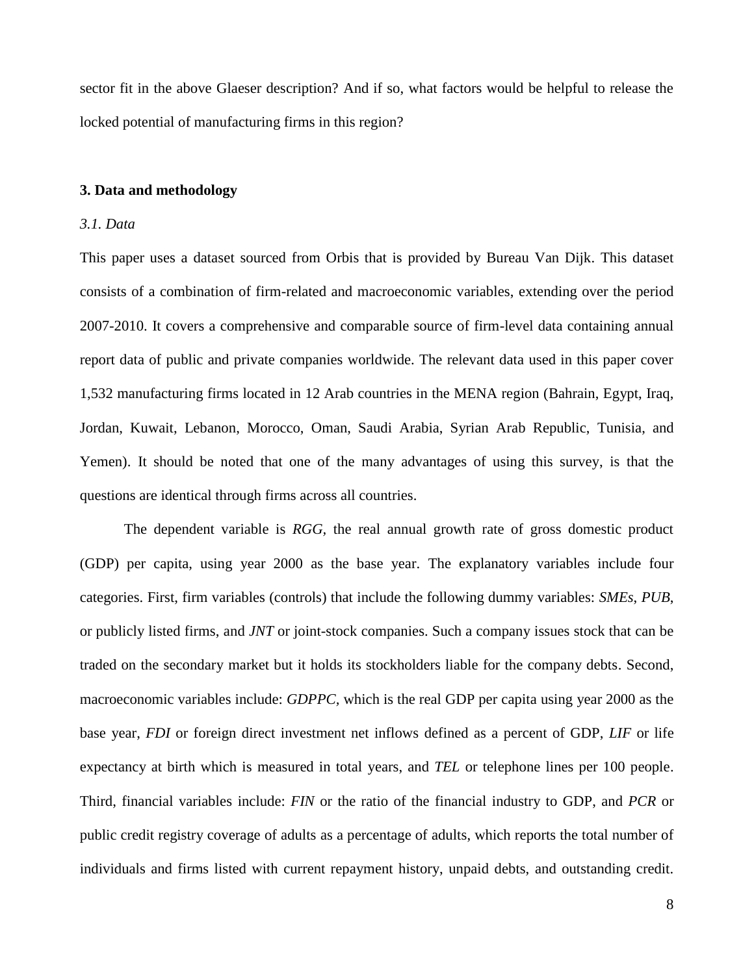sector fit in the above Glaeser description? And if so, what factors would be helpful to release the locked potential of manufacturing firms in this region?

#### **3. Data and methodology**

#### *3.1. Data*

This paper uses a dataset sourced from Orbis that is provided by Bureau Van Dijk. This dataset consists of a combination of firm-related and macroeconomic variables, extending over the period 2007-2010. It covers a comprehensive and comparable source of firm-level data containing annual report data of public and private companies worldwide. The relevant data used in this paper cover 1,532 manufacturing firms located in 12 Arab countries in the MENA region (Bahrain, Egypt, Iraq, Jordan, Kuwait, Lebanon, Morocco, Oman, Saudi Arabia, Syrian Arab Republic, Tunisia, and Yemen). It should be noted that one of the many advantages of using this survey, is that the questions are identical through firms across all countries.

The dependent variable is *RGG,* the real annual growth rate of gross domestic product (GDP) per capita, using year 2000 as the base year. The explanatory variables include four categories. First, firm variables (controls) that include the following dummy variables: *SMEs*, *PUB*, or publicly listed firms, and *JNT* or joint-stock companies. Such a company issues stock that can be traded on the secondary market but it holds its stockholders liable for the company debts. Second, macroeconomic variables include: *GDPPC,* which is the real GDP per capita using year 2000 as the base year, *FDI* or foreign direct investment net inflows defined as a percent of GDP, *LIF* or life expectancy at birth which is measured in total years, and *TEL* or telephone lines per 100 people. Third, financial variables include: *FIN* or the ratio of the financial industry to GDP, and *PCR* or public credit registry coverage of adults as a percentage of adults, which reports the total number of individuals and firms listed with current repayment history, unpaid debts, and outstanding credit.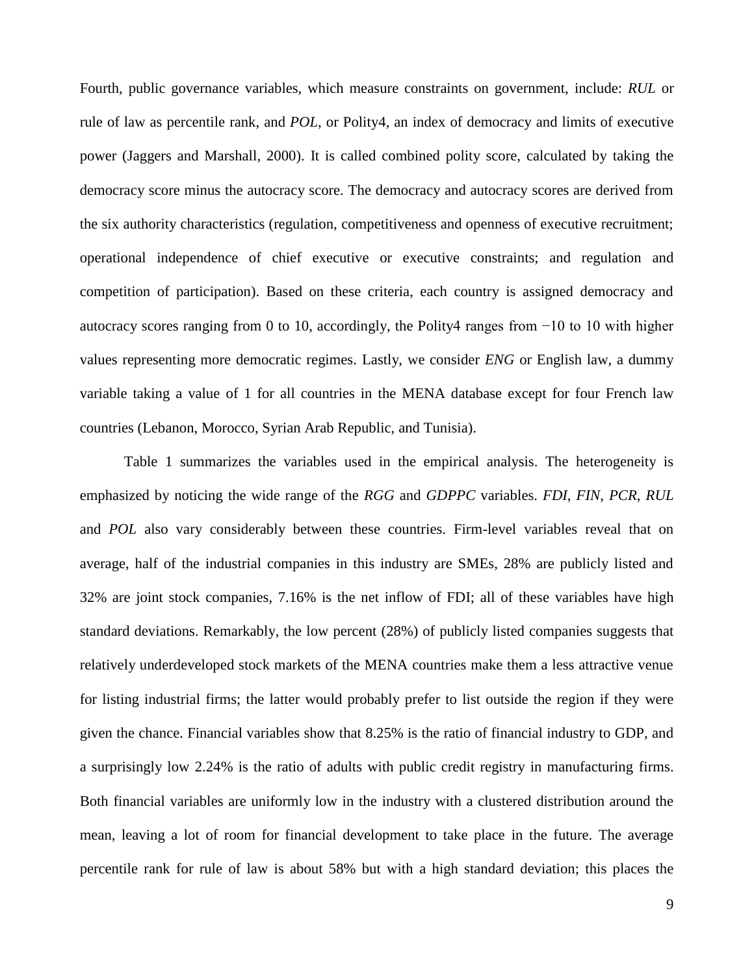Fourth, public governance variables, which measure constraints on government, include: *RUL* or rule of law as percentile rank, and *POL*, or Polity4, an index of democracy and limits of executive power (Jaggers and Marshall, 2000). It is called combined polity score, calculated by taking the democracy score minus the autocracy score. The democracy and autocracy scores are derived from the six authority characteristics (regulation, competitiveness and openness of executive recruitment; operational independence of chief executive or executive constraints; and regulation and competition of participation). Based on these criteria, each country is assigned democracy and autocracy scores ranging from 0 to 10, accordingly, the Polity4 ranges from −10 to 10 with higher values representing more democratic regimes. Lastly, we consider *ENG* or English law, a dummy variable taking a value of 1 for all countries in the MENA database except for four French law countries (Lebanon, Morocco, Syrian Arab Republic, and Tunisia).

Table 1 summarizes the variables used in the empirical analysis. The heterogeneity is emphasized by noticing the wide range of the *RGG* and *GDPPC* variables. *FDI*, *FIN*, *PCR*, *RUL* and *POL* also vary considerably between these countries. Firm-level variables reveal that on average, half of the industrial companies in this industry are SMEs, 28% are publicly listed and 32% are joint stock companies, 7.16% is the net inflow of FDI; all of these variables have high standard deviations. Remarkably, the low percent (28%) of publicly listed companies suggests that relatively underdeveloped stock markets of the MENA countries make them a less attractive venue for listing industrial firms; the latter would probably prefer to list outside the region if they were given the chance. Financial variables show that 8.25% is the ratio of financial industry to GDP, and a surprisingly low 2.24% is the ratio of adults with public credit registry in manufacturing firms. Both financial variables are uniformly low in the industry with a clustered distribution around the mean, leaving a lot of room for financial development to take place in the future. The average percentile rank for rule of law is about 58% but with a high standard deviation; this places the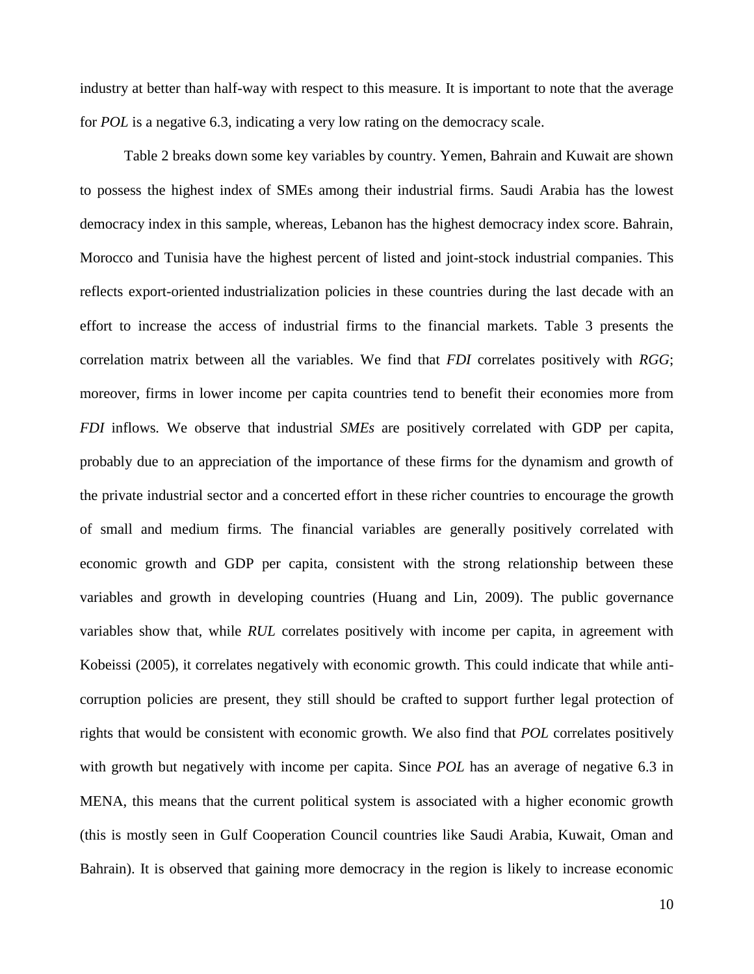industry at better than half-way with respect to this measure. It is important to note that the average for *POL* is a negative 6.3, indicating a very low rating on the democracy scale.

Table 2 breaks down some key variables by country. Yemen, Bahrain and Kuwait are shown to possess the highest index of SMEs among their industrial firms. Saudi Arabia has the lowest democracy index in this sample, whereas, Lebanon has the highest democracy index score. Bahrain, Morocco and Tunisia have the highest percent of listed and joint-stock industrial companies. This reflects export-oriented industrialization policies in these countries during the last decade with an effort to increase the access of industrial firms to the financial markets. Table 3 presents the correlation matrix between all the variables. We find that *FDI* correlates positively with *RGG*; moreover, firms in lower income per capita countries tend to benefit their economies more from *FDI* inflows*.* We observe that industrial *SMEs* are positively correlated with GDP per capita, probably due to an appreciation of the importance of these firms for the dynamism and growth of the private industrial sector and a concerted effort in these richer countries to encourage the growth of small and medium firms*.* The financial variables are generally positively correlated with economic growth and GDP per capita, consistent with the strong relationship between these variables and growth in developing countries (Huang and Lin, 2009). The public governance variables show that, while *RUL* correlates positively with income per capita, in agreement with Kobeissi (2005), it correlates negatively with economic growth. This could indicate that while anticorruption policies are present, they still should be crafted to support further legal protection of rights that would be consistent with economic growth. We also find that *POL* correlates positively with growth but negatively with income per capita. Since *POL* has an average of negative 6.3 in MENA, this means that the current political system is associated with a higher economic growth (this is mostly seen in Gulf Cooperation Council countries like Saudi Arabia, Kuwait, Oman and Bahrain). It is observed that gaining more democracy in the region is likely to increase economic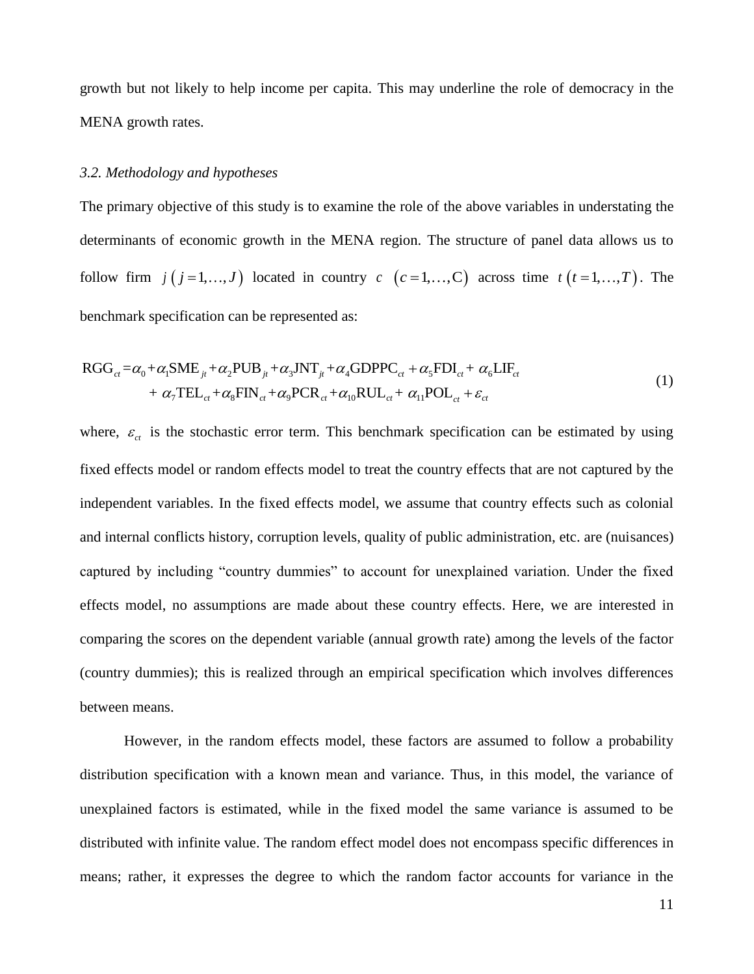growth but not likely to help income per capita. This may underline the role of democracy in the MENA growth rates.

#### *3.2. Methodology and hypotheses*

The primary objective of this study is to examine the role of the above variables in understating the determinants of economic growth in the MENA region. The structure of panel data allows us to follow firm  $j(j=1,...,J)$  located in country  $c$   $(c=1,...,C)$  across time  $t(t=1,...,T)$ . The benchmark specification can be represented as:

Denchmark specification can be represented as:

\n
$$
RGG_{ct} = \alpha_0 + \alpha_1 \text{SME}_{jt} + \alpha_2 \text{PUB}_{jt} + \alpha_3 \text{INT}_{jt} + \alpha_4 \text{GDPPC}_{ct} + \alpha_5 \text{FDI}_{ct} + \alpha_6 \text{LIF}_{ct} + \alpha_7 \text{TEL}_{ct} + \alpha_8 \text{FIN}_{ct} + \alpha_9 \text{PCR}_{ct} + \alpha_{10} \text{RUL}_{ct} + \alpha_{11} \text{POL}_{ct} + \varepsilon_{ct}
$$
\n
$$
(1)
$$

where,  $\varepsilon_{ct}$  is the stochastic error term. This benchmark specification can be estimated by using fixed effects model or random effects model to treat the country effects that are not captured by the independent variables. In the fixed effects model, we assume that country effects such as colonial and internal conflicts history, corruption levels, quality of public administration, etc. are (nuisances) captured by including "country dummies" to account for unexplained variation. Under the fixed effects model, no assumptions are made about these country effects. Here, we are interested in comparing the scores on the dependent variable (annual growth rate) among the levels of the factor (country dummies); this is realized through an empirical specification which involves differences between means.

However, in the random effects model, these factors are assumed to follow a probability distribution specification with a known mean and variance. Thus, in this model, the variance of unexplained factors is estimated, while in the fixed model the same variance is assumed to be distributed with infinite value. The random effect model does not encompass specific differences in means; rather, it expresses the degree to which the random factor accounts for variance in the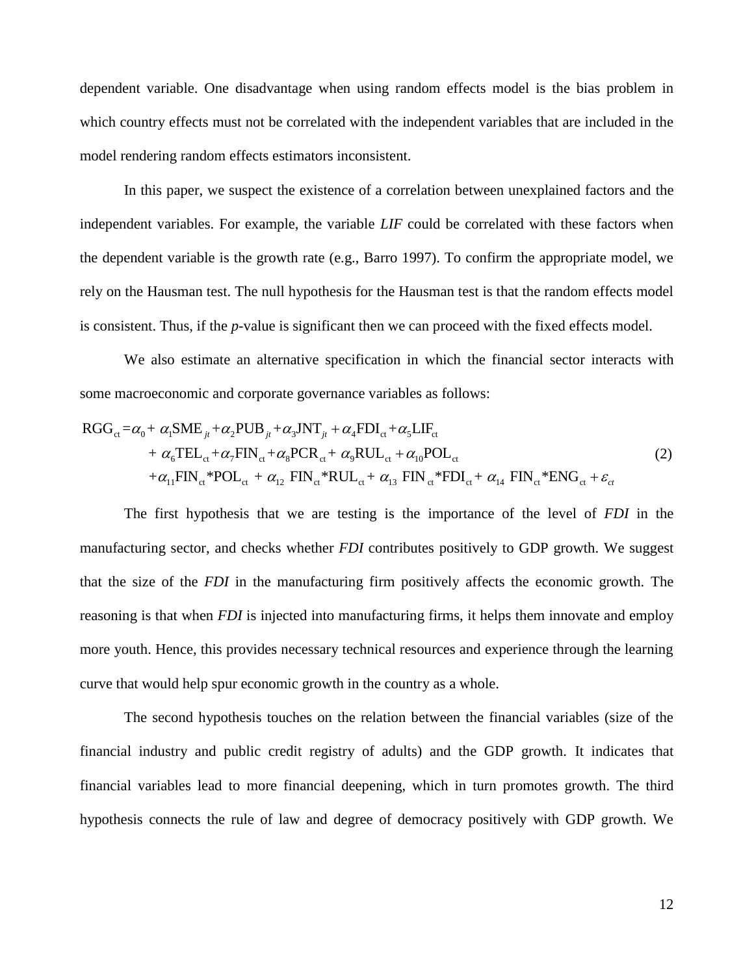dependent variable. One disadvantage when using random effects model is the bias problem in which country effects must not be correlated with the independent variables that are included in the model rendering random effects estimators inconsistent.

In this paper, we suspect the existence of a correlation between unexplained factors and the independent variables. For example, the variable *LIF* could be correlated with these factors when the dependent variable is the growth rate (e.g., Barro 1997). To confirm the appropriate model, we rely on the Hausman test. The null hypothesis for the Hausman test is that the random effects model is consistent. Thus, if the *p*-value is significant then we can proceed with the fixed effects model.

We also estimate an alternative specification in which the financial sector interacts with some macroeconomic and corporate governance variables as follows: we also estimate an alternative specification in w<br>some macroeconomic and corporate governance variables as<br> $RGG_{ct} = \alpha_0 + \alpha_1 SME_{jt} + \alpha_2 PUB_{jt} + \alpha_3 JNT_{jt} + \alpha_4 FDI_{ct} + \alpha_5 LIF_{ct}$ ve also estimate an alternative specification in which the<br>
croeconomic and corporate governance variables as follows:<br>  $\alpha_0 + \alpha_1 \text{SME}_{jt} + \alpha_2 \text{PUB}_{jt} + \alpha_3 \text{JNT}_{jt} + \alpha_4 \text{FDI}_{ct} + \alpha_5 \text{LIF}_{ct}$ 

some macroeconomic and corporate governance variables as follows:  
\n
$$
RGG_{ct} = \alpha_0 + \alpha_1 SME_{jt} + \alpha_2 PUB_{jt} + \alpha_3 JNT_{jt} + \alpha_4 FDI_{ct} + \alpha_5 LIF_{ct}
$$
\n
$$
+ \alpha_6 TEL_{ct} + \alpha_7 FIN_{ct} + \alpha_8 PCR_{ct} + \alpha_9 RUL_{ct} + \alpha_{10} POL_{ct}
$$
\n
$$
+ \alpha_{11} FIN_{ct} * POL_{ct} + \alpha_{12} FIN_{ct} * RUL_{ct} + \alpha_{13} FIN_{ct} * FDI_{ct} + \alpha_{14} FIN_{ct} * ENG_{ct} + \varepsilon_{ct}
$$
\n(2)

The first hypothesis that we are testing is the importance of the level of *FDI* in the manufacturing sector, and checks whether *FDI* contributes positively to GDP growth. We suggest that the size of the *FDI* in the manufacturing firm positively affects the economic growth. The reasoning is that when *FDI* is injected into manufacturing firms, it helps them innovate and employ more youth. Hence, this provides necessary technical resources and experience through the learning curve that would help spur economic growth in the country as a whole.

The second hypothesis touches on the relation between the financial variables (size of the financial industry and public credit registry of adults) and the GDP growth. It indicates that financial variables lead to more financial deepening, which in turn promotes growth. The third hypothesis connects the rule of law and degree of democracy positively with GDP growth. We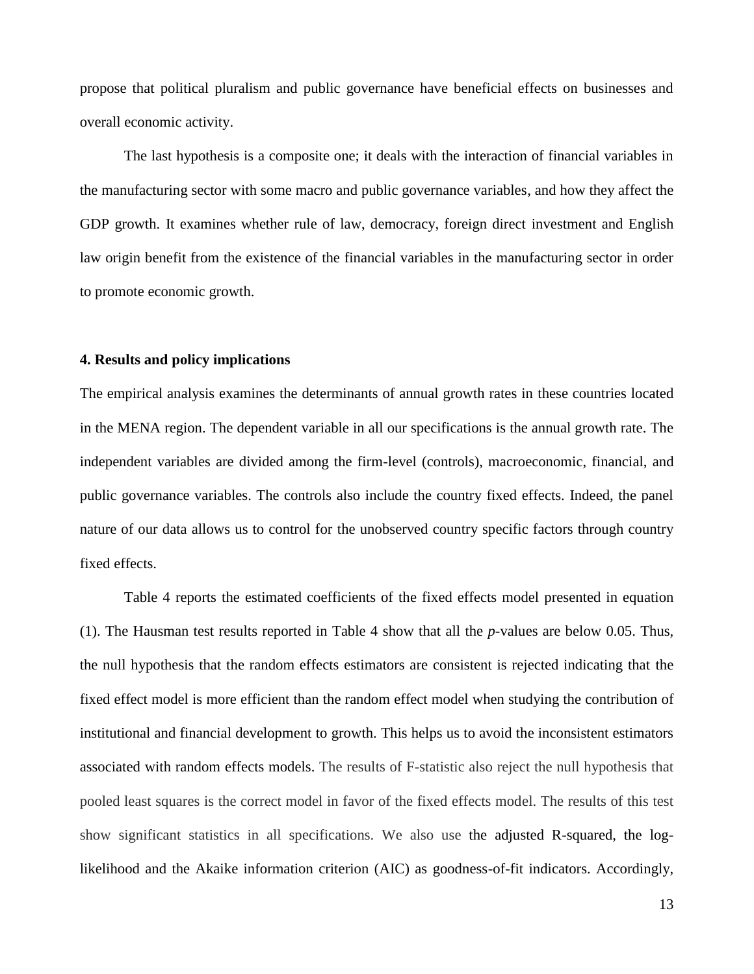propose that political pluralism and public governance have beneficial effects on businesses and overall economic activity.

The last hypothesis is a composite one; it deals with the interaction of financial variables in the manufacturing sector with some macro and public governance variables, and how they affect the GDP growth. It examines whether rule of law, democracy, foreign direct investment and English law origin benefit from the existence of the financial variables in the manufacturing sector in order to promote economic growth.

#### **4. Results and policy implications**

The empirical analysis examines the determinants of annual growth rates in these countries located in the MENA region. The dependent variable in all our specifications is the annual growth rate. The independent variables are divided among the firm-level (controls), macroeconomic, financial, and public governance variables. The controls also include the country fixed effects. Indeed, the panel nature of our data allows us to control for the unobserved country specific factors through country fixed effects.

Table 4 reports the estimated coefficients of the fixed effects model presented in equation (1). The Hausman test results reported in Table 4 show that all the *p*-values are below 0.05. Thus, the null hypothesis that the random effects estimators are consistent is rejected indicating that the fixed effect model is more efficient than the random effect model when studying the contribution of institutional and financial development to growth. This helps us to avoid the inconsistent estimators associated with random effects models. The results of F-statistic also reject the null hypothesis that pooled least squares is the correct model in favor of the fixed effects model. The results of this test show significant statistics in all specifications. We also use the adjusted R-squared, the loglikelihood and the Akaike information criterion (AIC) as goodness-of-fit indicators. Accordingly,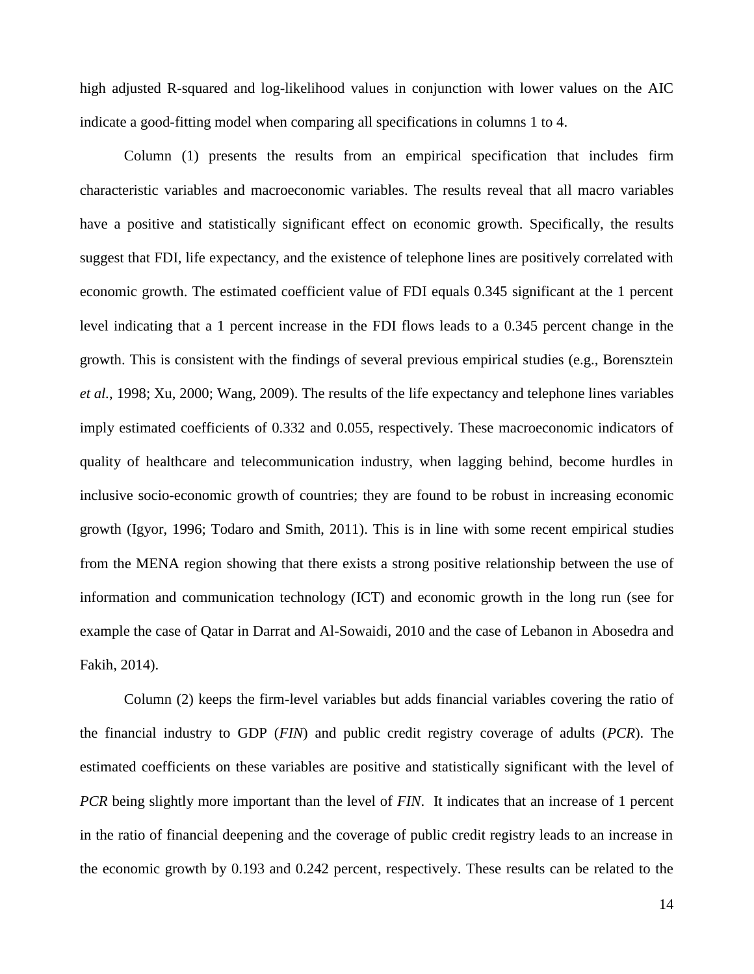high adjusted R-squared and log-likelihood values in conjunction with lower values on the AIC indicate a good-fitting model when comparing all specifications in columns 1 to 4.

Column (1) presents the results from an empirical specification that includes firm characteristic variables and macroeconomic variables. The results reveal that all macro variables have a positive and statistically significant effect on economic growth. Specifically, the results suggest that FDI, life expectancy, and the existence of telephone lines are positively correlated with economic growth. The estimated coefficient value of FDI equals 0.345 significant at the 1 percent level indicating that a 1 percent increase in the FDI flows leads to a 0.345 percent change in the growth. This is consistent with the findings of several previous empirical studies (e.g., Borensztein *et al.*, 1998; Xu, 2000; Wang, 2009). The results of the life expectancy and telephone lines variables imply estimated coefficients of 0.332 and 0.055, respectively. These macroeconomic indicators of quality of healthcare and telecommunication industry, when lagging behind, become hurdles in inclusive socio-economic growth of countries; they are found to be robust in increasing economic growth (Igyor, 1996; Todaro and Smith, 2011). This is in line with some recent empirical studies from the MENA region showing that there exists a strong positive relationship between the use of information and communication technology (ICT) and economic growth in the long run (see for example the case of Qatar in Darrat and Al-Sowaidi, 2010 and the case of Lebanon in Abosedra and Fakih, 2014).

Column (2) keeps the firm-level variables but adds financial variables covering the ratio of the financial industry to GDP (*FIN*) and public credit registry coverage of adults (*PCR*). The estimated coefficients on these variables are positive and statistically significant with the level of *PCR* being slightly more important than the level of *FIN*. It indicates that an increase of 1 percent in the ratio of financial deepening and the coverage of public credit registry leads to an increase in the economic growth by 0.193 and 0.242 percent, respectively. These results can be related to the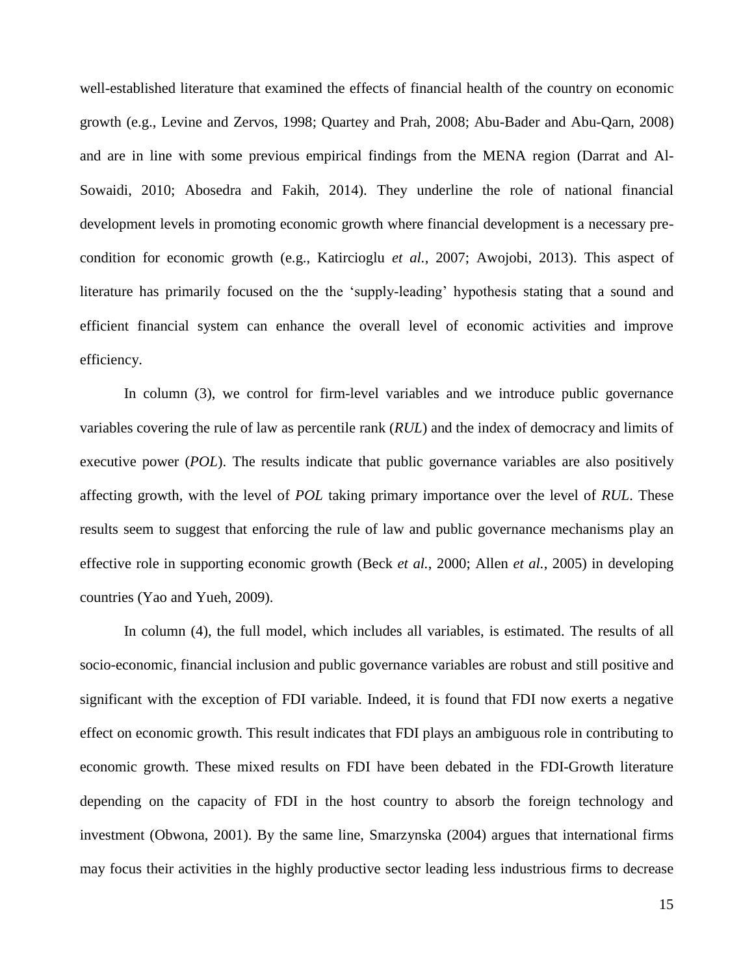well-established literature that examined the effects of financial health of the country on economic growth (e.g., Levine and Zervos, 1998; Quartey and Prah, 2008; Abu-Bader and Abu-Qarn, 2008) and are in line with some previous empirical findings from the MENA region (Darrat and Al-Sowaidi, 2010; Abosedra and Fakih, 2014). They underline the role of national financial development levels in promoting economic growth where financial development is a necessary precondition for economic growth (e.g., Katircioglu *et al.*, 2007; Awojobi, 2013). This aspect of literature has primarily focused on the the 'supply-leading' hypothesis stating that a sound and efficient financial system can enhance the overall level of economic activities and improve efficiency.

In column (3), we control for firm-level variables and we introduce public governance variables covering the rule of law as percentile rank (*RUL*) and the index of democracy and limits of executive power (*POL*). The results indicate that public governance variables are also positively affecting growth, with the level of *POL* taking primary importance over the level of *RUL*. These results seem to suggest that enforcing the rule of law and public governance mechanisms play an effective role in supporting economic growth (Beck *et al.*, 2000; Allen *et al.*, 2005) in developing countries (Yao and Yueh, 2009).

In column (4), the full model, which includes all variables, is estimated. The results of all socio-economic, financial inclusion and public governance variables are robust and still positive and significant with the exception of FDI variable. Indeed, it is found that FDI now exerts a negative effect on economic growth. This result indicates that FDI plays an ambiguous role in contributing to economic growth. These mixed results on FDI have been debated in the FDI-Growth literature depending on the capacity of FDI in the host country to absorb the foreign technology and investment (Obwona, 2001). By the same line, Smarzynska (2004) argues that international firms may focus their activities in the highly productive sector leading less industrious firms to decrease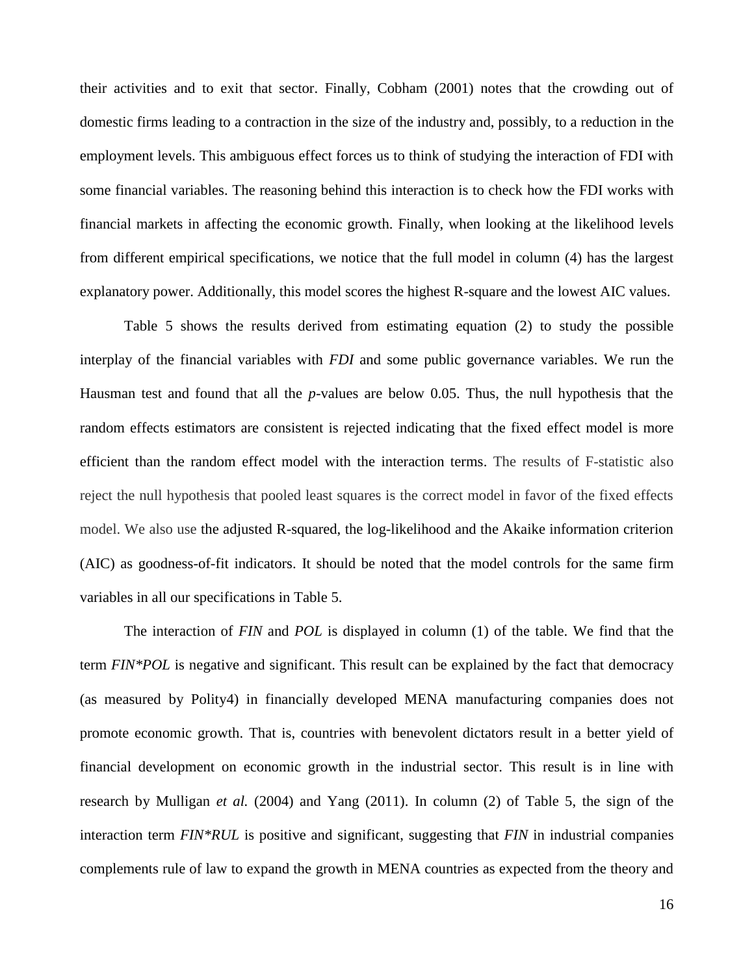their activities and to exit that sector. Finally, Cobham (2001) notes that the crowding out of domestic firms leading to a contraction in the size of the industry and, possibly, to a reduction in the employment levels. This ambiguous effect forces us to think of studying the interaction of FDI with some financial variables. The reasoning behind this interaction is to check how the FDI works with financial markets in affecting the economic growth. Finally, when looking at the likelihood levels from different empirical specifications, we notice that the full model in column (4) has the largest explanatory power. Additionally, this model scores the highest R-square and the lowest AIC values.

Table 5 shows the results derived from estimating equation (2) to study the possible interplay of the financial variables with *FDI* and some public governance variables. We run the Hausman test and found that all the *p*-values are below 0.05. Thus, the null hypothesis that the random effects estimators are consistent is rejected indicating that the fixed effect model is more efficient than the random effect model with the interaction terms. The results of F-statistic also reject the null hypothesis that pooled least squares is the correct model in favor of the fixed effects model. We also use the adjusted R-squared, the log-likelihood and the Akaike information criterion (AIC) as goodness-of-fit indicators. It should be noted that the model controls for the same firm variables in all our specifications in Table 5.

The interaction of *FIN* and *POL* is displayed in column (1) of the table. We find that the term *FIN\*POL* is negative and significant. This result can be explained by the fact that democracy (as measured by Polity4) in financially developed MENA manufacturing companies does not promote economic growth. That is, countries with benevolent dictators result in a better yield of financial development on economic growth in the industrial sector. This result is in line with research by Mulligan *et al.* (2004) and Yang (2011). In column (2) of Table 5, the sign of the interaction term *FIN\*RUL* is positive and significant, suggesting that *FIN* in industrial companies complements rule of law to expand the growth in MENA countries as expected from the theory and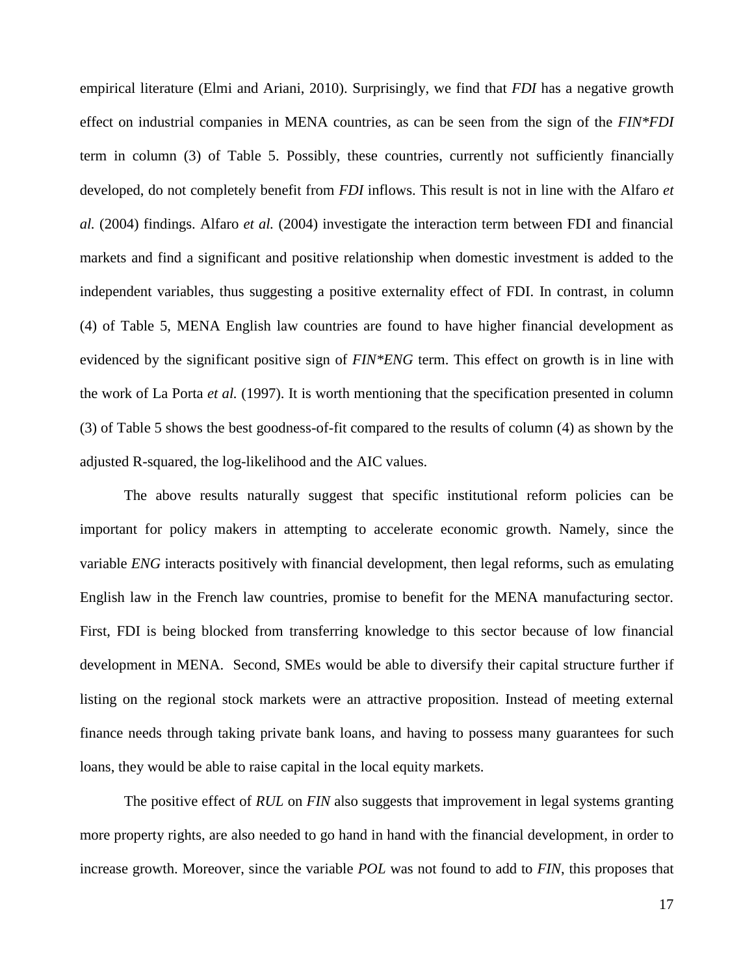empirical literature (Elmi and Ariani, 2010). Surprisingly, we find that *FDI* has a negative growth effect on industrial companies in MENA countries, as can be seen from the sign of the *FIN\*FDI* term in column (3) of Table 5. Possibly, these countries, currently not sufficiently financially developed, do not completely benefit from *FDI* inflows. This result is not in line with the Alfaro *et al.* (2004) findings. Alfaro *et al.* (2004) investigate the interaction term between FDI and financial markets and find a significant and positive relationship when domestic investment is added to the independent variables, thus suggesting a positive externality effect of FDI. In contrast, in column (4) of Table 5, MENA English law countries are found to have higher financial development as evidenced by the significant positive sign of *FIN\*ENG* term. This effect on growth is in line with the work of La Porta *et al.* (1997). It is worth mentioning that the specification presented in column (3) of Table 5 shows the best goodness-of-fit compared to the results of column (4) as shown by the adjusted R-squared, the log-likelihood and the AIC values.

The above results naturally suggest that specific institutional reform policies can be important for policy makers in attempting to accelerate economic growth. Namely, since the variable *ENG* interacts positively with financial development, then legal reforms, such as emulating English law in the French law countries, promise to benefit for the MENA manufacturing sector. First, FDI is being blocked from transferring knowledge to this sector because of low financial development in MENA. Second, SMEs would be able to diversify their capital structure further if listing on the regional stock markets were an attractive proposition. Instead of meeting external finance needs through taking private bank loans, and having to possess many guarantees for such loans, they would be able to raise capital in the local equity markets.

The positive effect of *RUL* on *FIN* also suggests that improvement in legal systems granting more property rights, are also needed to go hand in hand with the financial development, in order to increase growth. Moreover, since the variable *POL* was not found to add to *FIN*, this proposes that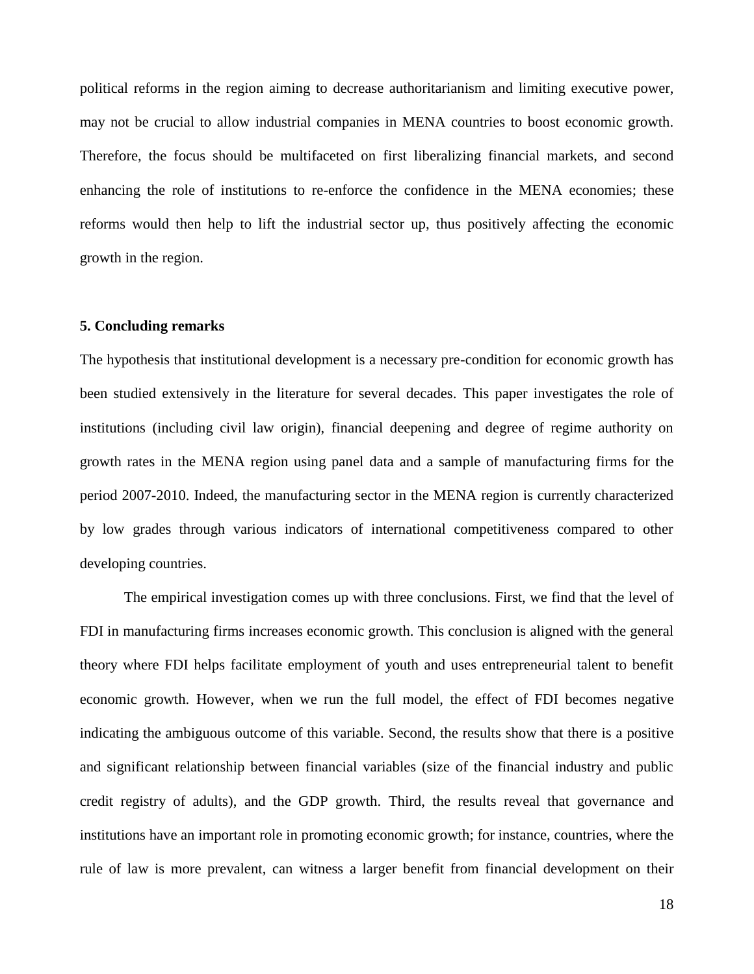political reforms in the region aiming to decrease authoritarianism and limiting executive power, may not be crucial to allow industrial companies in MENA countries to boost economic growth. Therefore, the focus should be multifaceted on first liberalizing financial markets, and second enhancing the role of institutions to re-enforce the confidence in the MENA economies; these reforms would then help to lift the industrial sector up, thus positively affecting the economic growth in the region.

#### **5. Concluding remarks**

The hypothesis that institutional development is a necessary pre-condition for economic growth has been studied extensively in the literature for several decades. This paper investigates the role of institutions (including civil law origin), financial deepening and degree of regime authority on growth rates in the MENA region using panel data and a sample of manufacturing firms for the period 2007-2010. Indeed, the manufacturing sector in the MENA region is currently characterized by low grades through various indicators of international competitiveness compared to other developing countries.

The empirical investigation comes up with three conclusions. First, we find that the level of FDI in manufacturing firms increases economic growth. This conclusion is aligned with the general theory where FDI helps facilitate employment of youth and uses entrepreneurial talent to benefit economic growth. However, when we run the full model, the effect of FDI becomes negative indicating the ambiguous outcome of this variable. Second, the results show that there is a positive and significant relationship between financial variables (size of the financial industry and public credit registry of adults), and the GDP growth. Third, the results reveal that governance and institutions have an important role in promoting economic growth; for instance, countries, where the rule of law is more prevalent, can witness a larger benefit from financial development on their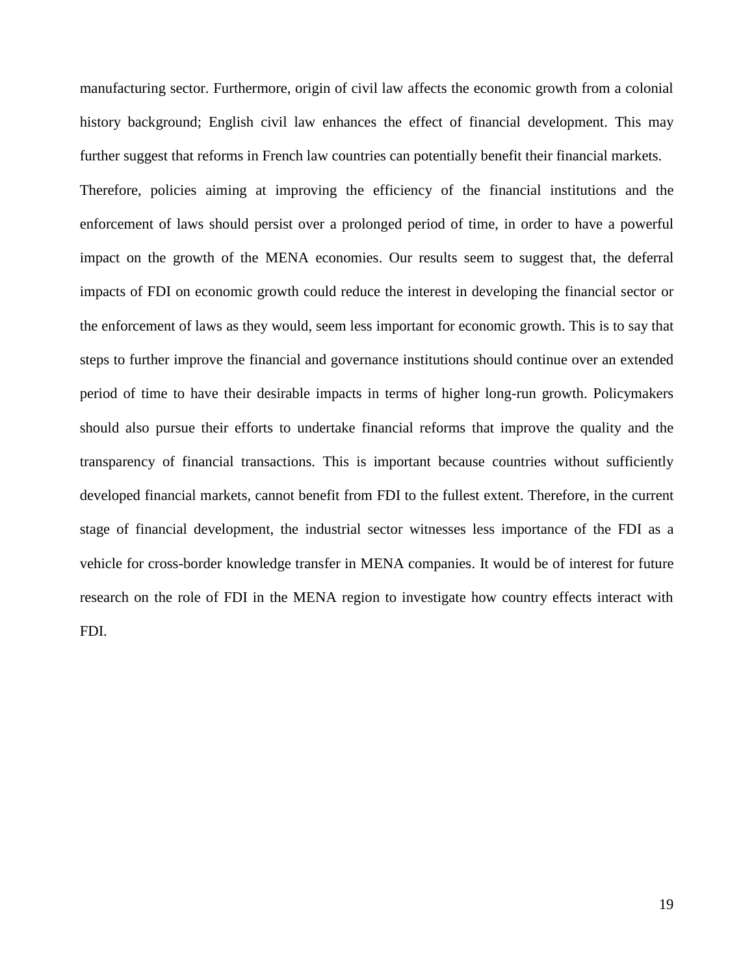manufacturing sector. Furthermore, origin of civil law affects the economic growth from a colonial history background; English civil law enhances the effect of financial development. This may further suggest that reforms in French law countries can potentially benefit their financial markets. Therefore, policies aiming at improving the efficiency of the financial institutions and the enforcement of laws should persist over a prolonged period of time, in order to have a powerful impact on the growth of the MENA economies. Our results seem to suggest that, the deferral impacts of FDI on economic growth could reduce the interest in developing the financial sector or the enforcement of laws as they would, seem less important for economic growth. This is to say that steps to further improve the financial and governance institutions should continue over an extended period of time to have their desirable impacts in terms of higher long-run growth. Policymakers should also pursue their efforts to undertake financial reforms that improve the quality and the transparency of financial transactions. This is important because countries without sufficiently developed financial markets, cannot benefit from FDI to the fullest extent. Therefore, in the current stage of financial development, the industrial sector witnesses less importance of the FDI as a vehicle for cross-border knowledge transfer in MENA companies. It would be of interest for future research on the role of FDI in the MENA region to investigate how country effects interact with FDI.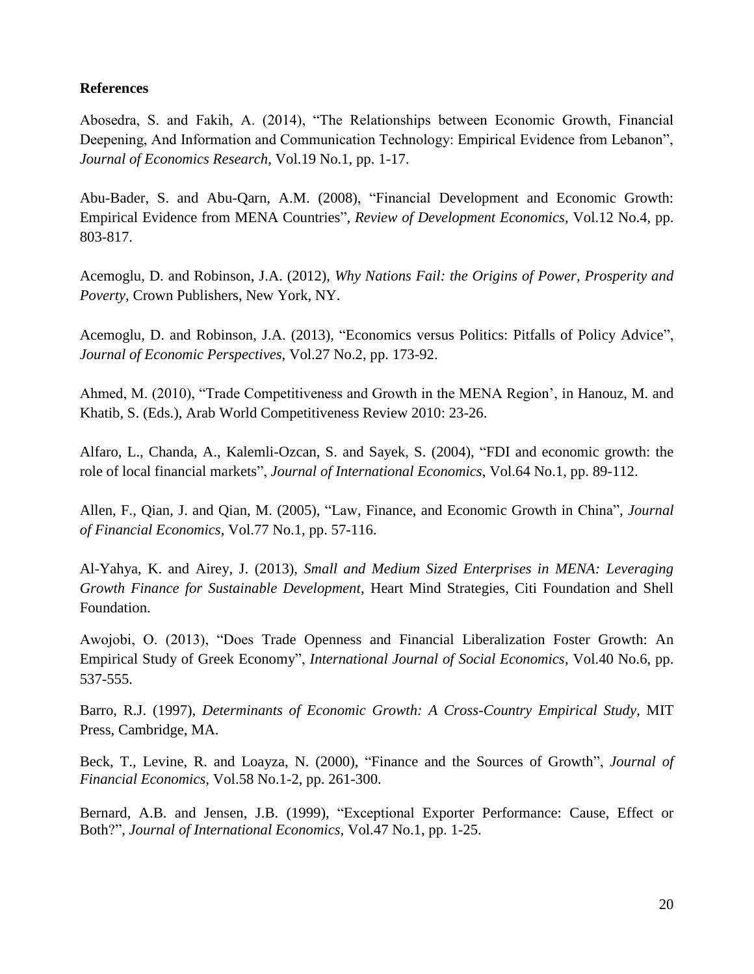#### **References**

Abosedra, S. and Fakih, A. (2014), "The Relationships between Economic Growth, Financial Deepening, And Information and Communication Technology: Empirical Evidence from Lebanon", *Journal of Economics Research*, Vol.19 No.1, pp. 1-17.

Abu-Bader, S. and Abu-Qarn, A.M. (2008), "Financial Development and Economic Growth: Empirical Evidence from MENA Countries", *Review of Development Economics*, Vol.12 No.4, pp. 803-817.

Acemoglu, D. and Robinson, J.A. (2012), *Why Nations Fail: the Origins of Power, Prosperity and Poverty*, Crown Publishers, New York, NY.

Acemoglu, D. and Robinson, J.A. (2013), "Economics versus Politics: Pitfalls of Policy Advice", *Journal of Economic Perspectives*, Vol.27 No.2, pp. 173-92.

Ahmed, M. (2010), "Trade Competitiveness and Growth in the MENA Region', in Hanouz, M. and Khatib, S. (Eds.), Arab World Competitiveness Review 2010: 23-26.

Alfaro, L., Chanda, A., Kalemli-Ozcan, S. and Sayek, S. (2004), "FDI and economic growth: the role of local financial markets", *Journal of International Economics*, Vol.64 No.1, pp. 89-112.

Allen, F., Qian, J. and Qian, M. (2005), "Law, Finance, and Economic Growth in China", *Journal of Financial Economics*, Vol.77 No.1, pp. 57-116.

Al-Yahya, K. and Airey, J. (2013), *Small and Medium Sized Enterprises in MENA: Leveraging Growth Finance for Sustainable Development*, Heart Mind Strategies, Citi Foundation and Shell Foundation.

Awojobi, O. (2013), "Does Trade Openness and Financial Liberalization Foster Growth: An Empirical Study of Greek Economy", *International Journal of Social Economics*, Vol.40 No.6, pp. 537-555.

Barro, R.J. (1997), *Determinants of Economic Growth: A Cross-Country Empirical Study*, MIT Press, Cambridge, MA.

Beck, T., Levine, R. and Loayza, N. (2000), "Finance and the Sources of Growth", *Journal of Financial Economics*, Vol.58 No.1-2, pp. 261-300.

Bernard, A.B. and Jensen, J.B. (1999), "Exceptional Exporter Performance: Cause, Effect or Both?", *Journal of International Economics*, Vol.47 No.1, pp. 1-25.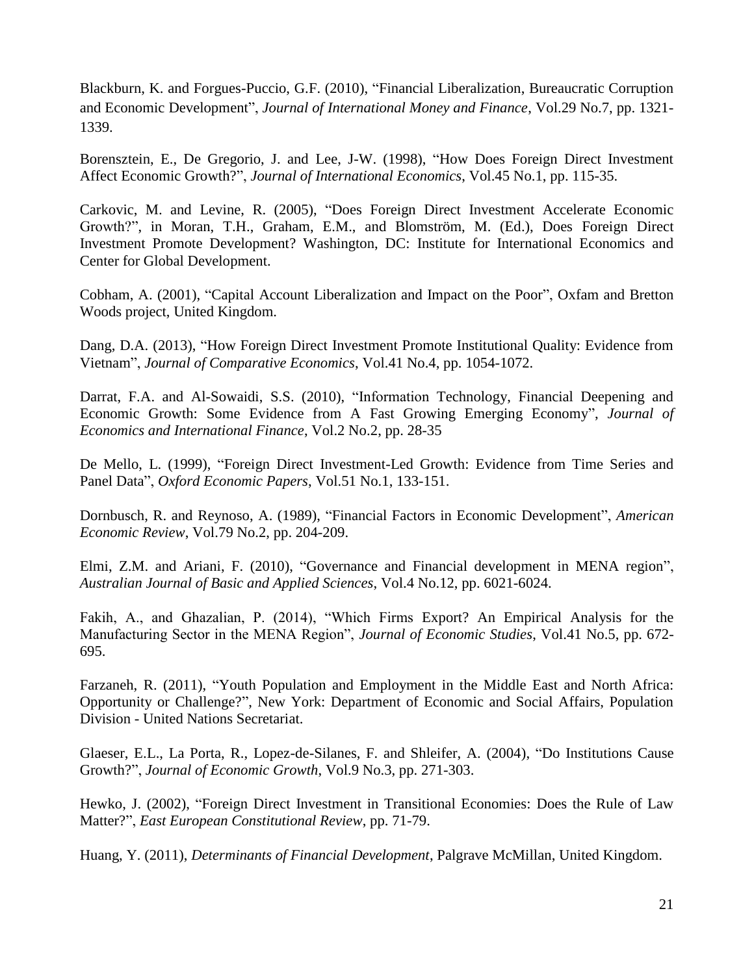Blackburn, K. and Forgues-Puccio, G.F. (2010), "Financial Liberalization, Bureaucratic Corruption and Economic Development", *Journal of International Money and Finance*, Vol.29 No.7, pp. 1321- 1339.

Borensztein, E., De Gregorio, J. and Lee, J-W. (1998), "How Does Foreign Direct Investment Affect Economic Growth?", *Journal of International Economics*, Vol.45 No.1, pp. 115-35.

Carkovic, M. and Levine, R. (2005), "Does Foreign Direct Investment Accelerate Economic Growth?", in Moran, T.H., Graham, E.M., and Blomström, M. (Ed.), Does Foreign Direct Investment Promote Development? Washington, DC: Institute for International Economics and Center for Global Development.

Cobham, A. (2001), "Capital Account Liberalization and Impact on the Poor", Oxfam and Bretton Woods project, United Kingdom.

Dang, D.A. (2013), "How Foreign Direct Investment Promote Institutional Quality: Evidence from Vietnam", *Journal of Comparative Economics*, Vol.41 No.4, pp. 1054-1072.

Darrat, F.A. and Al-Sowaidi, S.S. (2010), "Information Technology, Financial Deepening and Economic Growth: Some Evidence from A Fast Growing Emerging Economy", *Journal of Economics and International Finance*, Vol.2 No.2, pp. 28-35

De Mello, L. (1999), "Foreign Direct Investment-Led Growth: Evidence from Time Series and Panel Data", *Oxford Economic Papers*, Vol.51 No.1, 133-151.

Dornbusch, R. and Reynoso, A. (1989), "Financial Factors in Economic Development", *American Economic Review*, Vol.79 No.2, pp. 204-209.

Elmi, Z.M. and Ariani, F. (2010), "Governance and Financial development in MENA region", *Australian Journal of Basic and Applied Sciences*, Vol.4 No.12, pp. 6021-6024.

Fakih, A., and Ghazalian, P. (2014), "Which Firms Export? An Empirical Analysis for the Manufacturing Sector in the MENA Region", *Journal of Economic Studies*, Vol.41 No.5, pp. 672- 695.

Farzaneh, R. (2011), "Youth Population and Employment in the Middle East and North Africa: Opportunity or Challenge?", New York: Department of Economic and Social Affairs, Population Division - United Nations Secretariat.

Glaeser, E.L., La Porta, R., Lopez-de-Silanes, F. and Shleifer, A. (2004), "Do Institutions Cause Growth?", *Journal of Economic Growth*, Vol.9 No.3, pp. 271-303.

Hewko, J. (2002), "Foreign Direct Investment in Transitional Economies: Does the Rule of Law Matter?", *East European Constitutional Review*, pp. 71-79.

Huang, Y. (2011), *Determinants of Financial Development*, Palgrave McMillan, United Kingdom.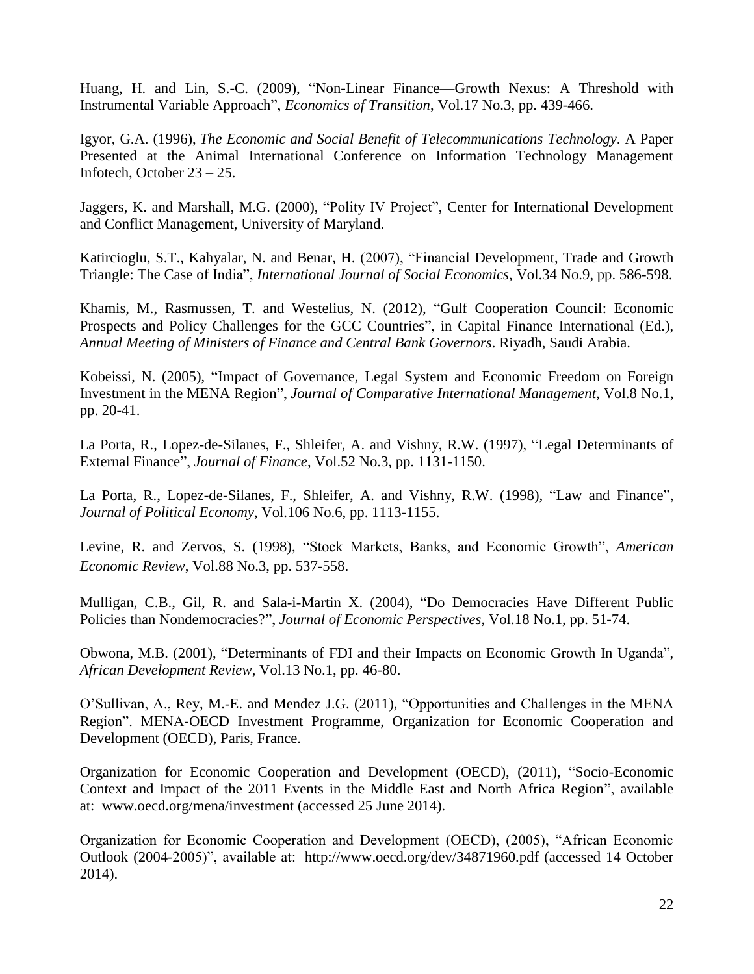Huang, H. and Lin, S.-C. (2009), "Non-Linear Finance—Growth Nexus: A Threshold with Instrumental Variable Approach", *Economics of Transition*, Vol.17 No.3, pp. 439-466.

Igyor, G.A. (1996), *The Economic and Social Benefit of Telecommunications Technology*. A Paper Presented at the Animal International Conference on Information Technology Management Infotech, October 23 – 25.

Jaggers, K. and Marshall, M.G. (2000), "Polity IV Project", Center for International Development and Conflict Management, University of Maryland.

Katircioglu, S.T., Kahyalar, N. and Benar, H. (2007), "Financial Development, Trade and Growth Triangle: The Case of India", *International Journal of Social Economics*, Vol.34 No.9, pp. 586-598.

Khamis, M., Rasmussen, T. and Westelius, N. (2012), "Gulf Cooperation Council: Economic Prospects and Policy Challenges for the GCC Countries", in Capital Finance International (Ed.), *Annual Meeting of Ministers of Finance and Central Bank Governors*. Riyadh, Saudi Arabia.

Kobeissi, N. (2005), "Impact of Governance, Legal System and Economic Freedom on Foreign Investment in the MENA Region", *Journal of Comparative International Management*, Vol.8 No.1, pp. 20-41.

La Porta, R., Lopez-de-Silanes, F., Shleifer, A. and Vishny, R.W. (1997), "Legal Determinants of External Finance", *Journal of Finance*, Vol.52 No.3, pp. 1131-1150.

La Porta, R., Lopez-de-Silanes, F., Shleifer, A. and Vishny, R.W. (1998), "Law and Finance", *Journal of Political Economy*, Vol.106 No.6, pp. 1113-1155.

Levine, R. and Zervos, S. (1998), "Stock Markets, Banks, and Economic Growth", *American Economic Review*, Vol.88 No.3, pp. 537-558.

Mulligan, C.B., Gil, R. and Sala-i-Martin X. (2004), "Do Democracies Have Different Public Policies than Nondemocracies?", *Journal of Economic Perspectives*, Vol.18 No.1, pp. 51-74.

Obwona, M.B. (2001), "Determinants of FDI and their Impacts on Economic Growth In Uganda", *African Development Review*, Vol.13 No.1, pp. 46-80.

O'Sullivan, A., Rey, M.-E. and Mendez J.G. (2011), "Opportunities and Challenges in the MENA Region". MENA-OECD Investment Programme, Organization for Economic Cooperation and Development (OECD), Paris, France.

Organization for Economic Cooperation and Development (OECD), (2011), "Socio-Economic Context and Impact of the 2011 Events in the Middle East and North Africa Region", available at: [www.oecd.org/mena/investment](http://www.oecd.org/mena/investment) (accessed 25 June 2014).

Organization for Economic Cooperation and Development (OECD), (2005), "African Economic Outlook (2004-2005)", available at: http://www.oecd.org/dev/34871960.pdf (accessed 14 October 2014).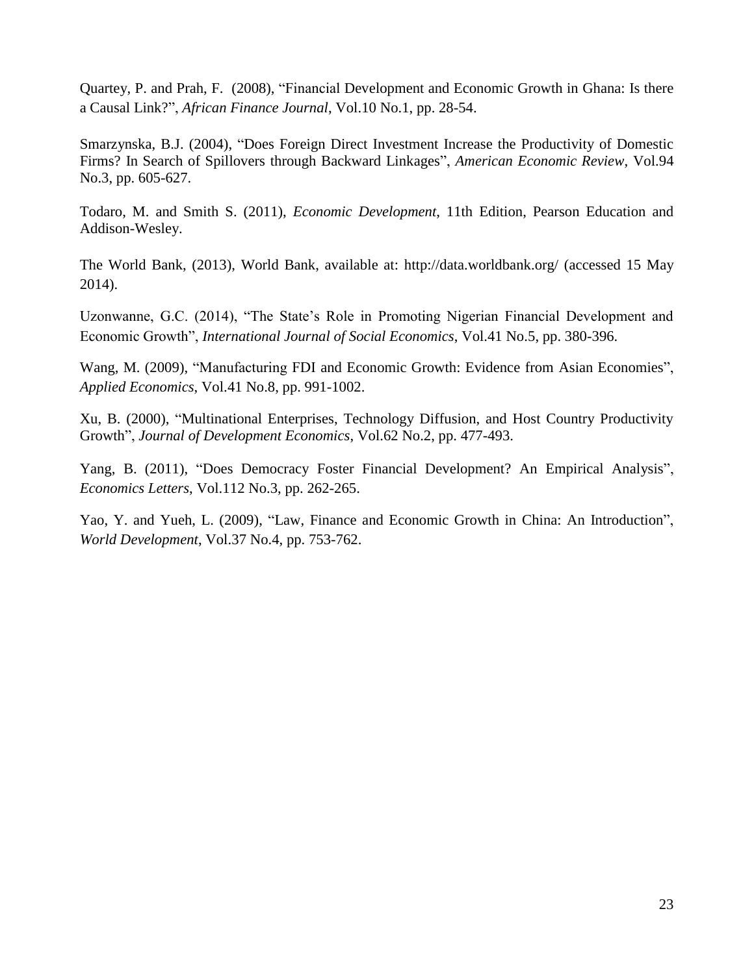Quartey, P. and Prah, F. (2008), "Financial Development and Economic Growth in Ghana: Is there a Causal Link?", *African Finance Journal*, Vol.10 No.1, pp. 28-54.

Smarzynska, B.J. (2004), "Does Foreign Direct Investment Increase the Productivity of Domestic Firms? In Search of Spillovers through Backward Linkages", *American Economic Review*, Vol.94 No.3, pp. 605-627.

Todaro, M. and Smith S. (2011), *Economic Development*, 11th Edition, Pearson Education and Addison-Wesley.

The World Bank, (2013), World Bank, available at:<http://data.worldbank.org/> (accessed 15 May 2014).

Uzonwanne, G.C. (2014), "The State's Role in Promoting Nigerian Financial Development and Economic Growth", *International Journal of Social Economics*, Vol.41 No.5, pp. 380-396.

Wang, M. (2009), "Manufacturing FDI and Economic Growth: Evidence from Asian Economies", *Applied Economics*, Vol.41 No.8, pp. 991-1002.

Xu, B. (2000), "Multinational Enterprises, Technology Diffusion, and Host Country Productivity Growth", *Journal of Development Economics*, Vol.62 No.2, pp. 477-493.

Yang, B. (2011), "Does Democracy Foster Financial Development? An Empirical Analysis", *Economics Letters*, Vol.112 No.3, pp. 262-265.

Yao, Y. and Yueh, L. (2009), "Law, Finance and Economic Growth in China: An Introduction", *World Development*, Vol.37 No.4, pp. 753-762.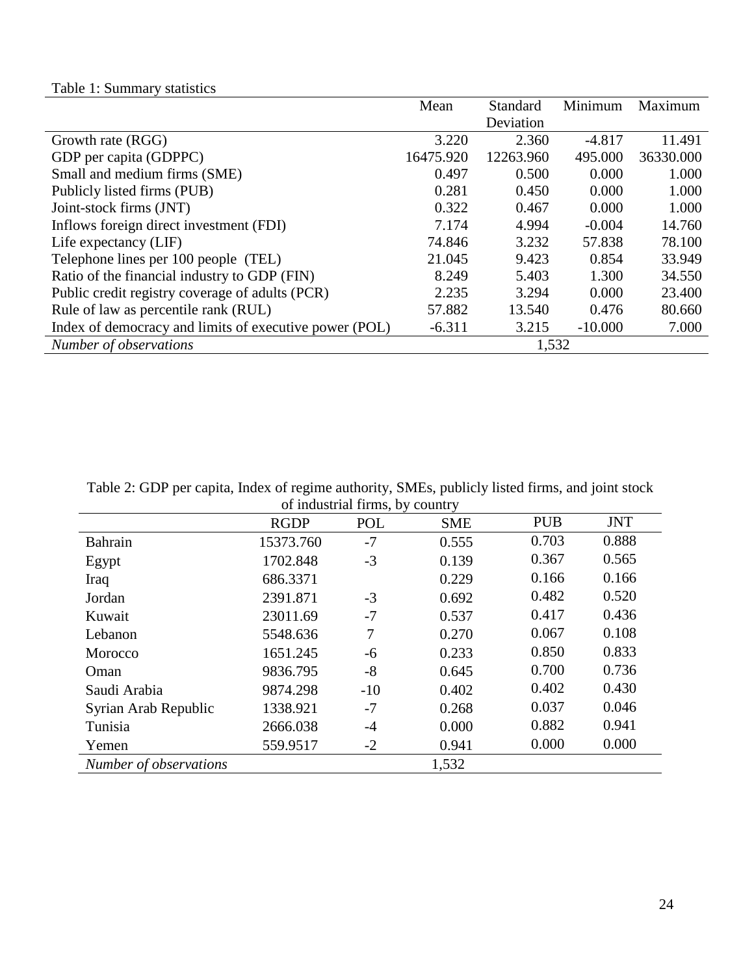|  |  | Table 1: Summary statistics |  |
|--|--|-----------------------------|--|
|--|--|-----------------------------|--|

|                                                        | Mean      | Standard  | Minimum   | Maximum   |
|--------------------------------------------------------|-----------|-----------|-----------|-----------|
|                                                        |           | Deviation |           |           |
| Growth rate (RGG)                                      | 3.220     | 2.360     | $-4.817$  | 11.491    |
| GDP per capita (GDPPC)                                 | 16475.920 | 12263.960 | 495.000   | 36330.000 |
| Small and medium firms (SME)                           | 0.497     | 0.500     | 0.000     | 1.000     |
| Publicly listed firms (PUB)                            | 0.281     | 0.450     | 0.000     | 1.000     |
| Joint-stock firms (JNT)                                | 0.322     | 0.467     | 0.000     | 1.000     |
| Inflows foreign direct investment (FDI)                | 7.174     | 4.994     | $-0.004$  | 14.760    |
| Life expectancy (LIF)                                  | 74.846    | 3.232     | 57.838    | 78.100    |
| Telephone lines per 100 people (TEL)                   | 21.045    | 9.423     | 0.854     | 33.949    |
| Ratio of the financial industry to GDP (FIN)           | 8.249     | 5.403     | 1.300     | 34.550    |
| Public credit registry coverage of adults (PCR)        | 2.235     | 3.294     | 0.000     | 23.400    |
| Rule of law as percentile rank (RUL)                   | 57.882    | 13.540    | 0.476     | 80.660    |
| Index of democracy and limits of executive power (POL) | $-6.311$  | 3.215     | $-10.000$ | 7.000     |
| Number of observations                                 |           | 1,532     |           |           |

Table 2: GDP per capita, Index of regime authority, SMEs, publicly listed firms, and joint stock of industrial firms, by country

|                        |             | of maasural mins, by country |            |            |            |
|------------------------|-------------|------------------------------|------------|------------|------------|
|                        | <b>RGDP</b> | POL                          | <b>SME</b> | <b>PUB</b> | <b>JNT</b> |
| Bahrain                | 15373.760   | $-7$                         | 0.555      | 0.703      | 0.888      |
| Egypt                  | 1702.848    | $-3$                         | 0.139      | 0.367      | 0.565      |
| Iraq                   | 686.3371    |                              | 0.229      | 0.166      | 0.166      |
| Jordan                 | 2391.871    | $-3$                         | 0.692      | 0.482      | 0.520      |
| Kuwait                 | 23011.69    | $-7$                         | 0.537      | 0.417      | 0.436      |
| Lebanon                | 5548.636    | 7                            | 0.270      | 0.067      | 0.108      |
| Morocco                | 1651.245    | -6                           | 0.233      | 0.850      | 0.833      |
| Oman                   | 9836.795    | $-8$                         | 0.645      | 0.700      | 0.736      |
| Saudi Arabia           | 9874.298    | $-10$                        | 0.402      | 0.402      | 0.430      |
| Syrian Arab Republic   | 1338.921    | $-7$                         | 0.268      | 0.037      | 0.046      |
| Tunisia                | 2666.038    | $-4$                         | 0.000      | 0.882      | 0.941      |
| Yemen                  | 559.9517    | $-2$                         | 0.941      | 0.000      | 0.000      |
| Number of observations |             |                              | 1,532      |            |            |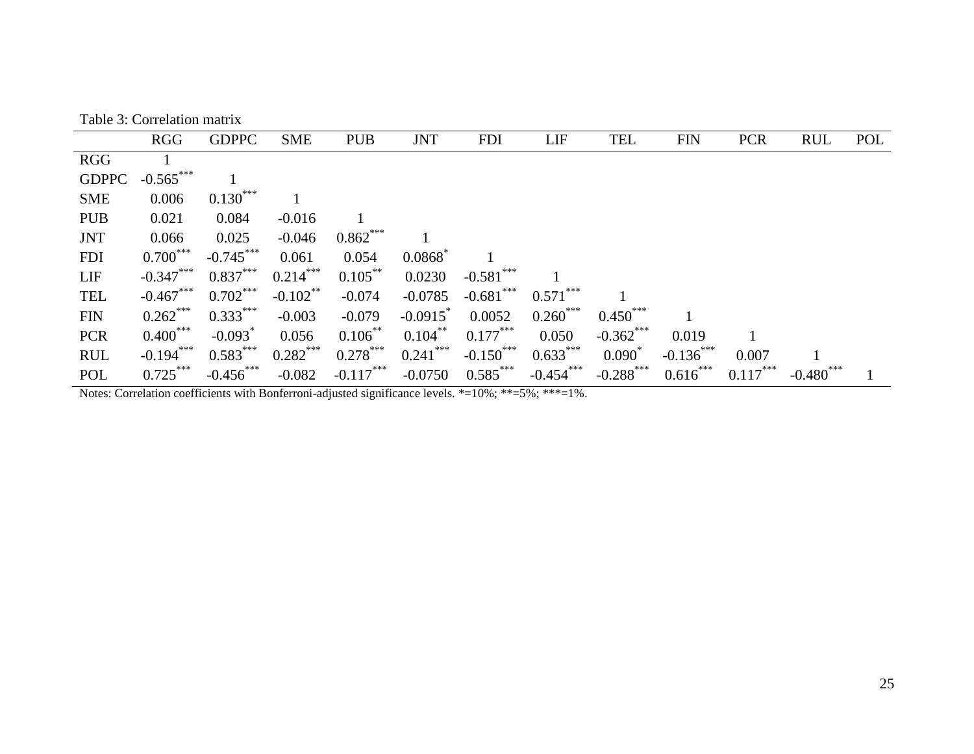| Table 3: Correlation matrix |
|-----------------------------|
|-----------------------------|

|              | <b>RGG</b>  | <b>GDPPC</b>          | <b>SME</b>  | <b>PUB</b>  | <b>JNT</b>             | <b>FDI</b>   | LIF         | <b>TEL</b>  | <b>FIN</b>   | <b>PCR</b> | <b>RUL</b>       | POL |
|--------------|-------------|-----------------------|-------------|-------------|------------------------|--------------|-------------|-------------|--------------|------------|------------------|-----|
| <b>RGG</b>   |             |                       |             |             |                        |              |             |             |              |            |                  |     |
| <b>GDPPC</b> | $-0.565***$ |                       |             |             |                        |              |             |             |              |            |                  |     |
| <b>SME</b>   | 0.006       | $0.130***$            |             |             |                        |              |             |             |              |            |                  |     |
| <b>PUB</b>   | 0.021       | 0.084                 | $-0.016$    |             |                        |              |             |             |              |            |                  |     |
| <b>JNT</b>   | 0.066       | 0.025                 | $-0.046$    | $0.862***$  |                        |              |             |             |              |            |                  |     |
| <b>FDI</b>   | $0.700***$  | $-0.745***$           | 0.061       | 0.054       | 0.0868                 |              |             |             |              |            |                  |     |
| <b>LIF</b>   | $-0.347***$ | $0.837***$            | $0.214***$  | $0.105***$  | 0.0230                 | $-0.581$ *** |             |             |              |            |                  |     |
| <b>TEL</b>   | $-0.467***$ | $0.702***$            | $-0.102$ ** | $-0.074$    | $-0.0785$              | $-0.681***$  | $0.571***$  |             |              |            |                  |     |
| <b>FIN</b>   | $0.262***$  | $0.333***$            | $-0.003$    | $-0.079$    | $-0.0915$ <sup>*</sup> | 0.0052       | $0.260***$  | $0.450***$  |              |            |                  |     |
| <b>PCR</b>   | $0.400***$  | $-0.093$ <sup>*</sup> | 0.056       | $0.106$ **  | $0.104***$             | $0.177***$   | 0.050       | $-0.362***$ | 0.019        |            |                  |     |
| <b>RUL</b>   | $-0.194***$ | $0.583***$            | $0.282***$  | $0.278***$  | $0.241***$             | $-0.150***$  | $0.633***$  | $0.090^*$   | $-0.136$ *** | 0.007      |                  |     |
| POL          | $0.725***$  | $-0.456***$           | $-0.082$    | $-0.117***$ | $-0.0750$              | $0.585***$   | $-0.454***$ | $-0.288***$ | $0.616***$   | $0.117***$ | $-0.480^{\circ}$ |     |

Notes: Correlation coefficients with Bonferroni-adjusted significance levels. \*=10%; \*\*=5%; \*\*\*=1%.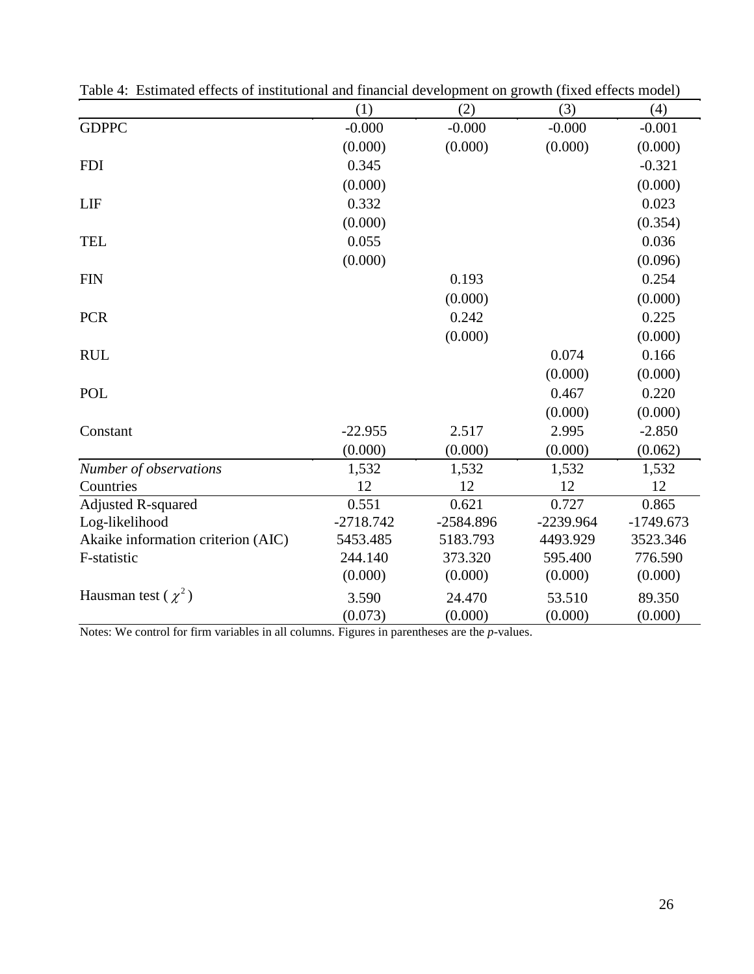|                                    | (1)         | (2)         | (3)         | (4)         |
|------------------------------------|-------------|-------------|-------------|-------------|
| <b>GDPPC</b>                       | $-0.000$    | $-0.000$    | $-0.000$    | $-0.001$    |
|                                    | (0.000)     | (0.000)     | (0.000)     | (0.000)     |
| <b>FDI</b>                         | 0.345       |             |             | $-0.321$    |
|                                    | (0.000)     |             |             | (0.000)     |
| LIF                                | 0.332       |             |             | 0.023       |
|                                    | (0.000)     |             |             | (0.354)     |
| <b>TEL</b>                         | 0.055       |             |             | 0.036       |
|                                    | (0.000)     |             |             | (0.096)     |
| <b>FIN</b>                         |             | 0.193       |             | 0.254       |
|                                    |             | (0.000)     |             | (0.000)     |
| <b>PCR</b>                         |             | 0.242       |             | 0.225       |
|                                    |             | (0.000)     |             | (0.000)     |
| <b>RUL</b>                         |             |             | 0.074       | 0.166       |
|                                    |             |             | (0.000)     | (0.000)     |
| <b>POL</b>                         |             |             | 0.467       | 0.220       |
|                                    |             |             | (0.000)     | (0.000)     |
| Constant                           | $-22.955$   | 2.517       | 2.995       | $-2.850$    |
|                                    | (0.000)     | (0.000)     | (0.000)     | (0.062)     |
| Number of observations             | 1,532       | 1,532       | 1,532       | 1,532       |
| Countries                          | 12          | 12          | 12          | 12          |
| Adjusted R-squared                 | 0.551       | 0.621       | 0.727       | 0.865       |
| Log-likelihood                     | $-2718.742$ | $-2584.896$ | $-2239.964$ | $-1749.673$ |
| Akaike information criterion (AIC) | 5453.485    | 5183.793    | 4493.929    | 3523.346    |
| F-statistic                        | 244.140     | 373.320     | 595.400     | 776.590     |
|                                    | (0.000)     | (0.000)     | (0.000)     | (0.000)     |
| Hausman test ( $\chi^2$ )          | 3.590       | 24.470      | 53.510      | 89.350      |
|                                    | (0.073)     | (0.000)     | (0.000)     | (0.000)     |

Table 4: Estimated effects of institutional and financial development on growth (fixed effects model)

Notes: We control for firm variables in all columns. Figures in parentheses are the *p*-values.